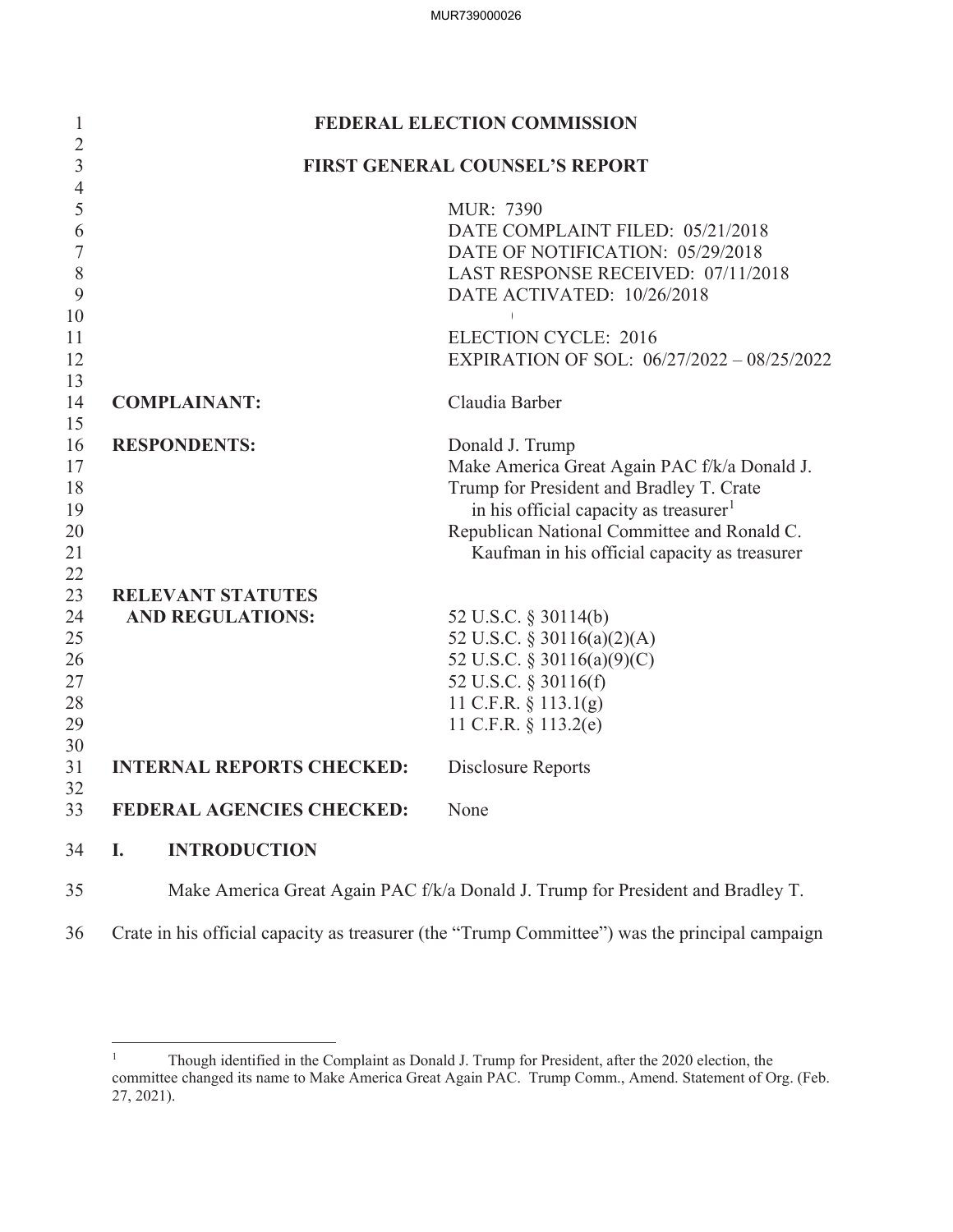| 1                   |                                       | <b>FEDERAL ELECTION COMMISSION</b>                                              |  |  |
|---------------------|---------------------------------------|---------------------------------------------------------------------------------|--|--|
| $\overline{2}$<br>3 | <b>FIRST GENERAL COUNSEL'S REPORT</b> |                                                                                 |  |  |
| $\overline{4}$      |                                       |                                                                                 |  |  |
| 5                   |                                       | MUR: 7390                                                                       |  |  |
| 6                   |                                       | DATE COMPLAINT FILED: 05/21/2018                                                |  |  |
| 7                   |                                       | DATE OF NOTIFICATION: 05/29/2018                                                |  |  |
| $8\,$               |                                       | LAST RESPONSE RECEIVED: 07/11/2018                                              |  |  |
| 9                   |                                       | DATE ACTIVATED: 10/26/2018                                                      |  |  |
| 10                  |                                       |                                                                                 |  |  |
| 11                  |                                       | <b>ELECTION CYCLE: 2016</b>                                                     |  |  |
| 12                  |                                       | EXPIRATION OF SOL: 06/27/2022 - 08/25/2022                                      |  |  |
| 13<br>14            | <b>COMPLAINANT:</b>                   | Claudia Barber                                                                  |  |  |
| 15                  |                                       |                                                                                 |  |  |
| 16                  | <b>RESPONDENTS:</b>                   | Donald J. Trump                                                                 |  |  |
| 17                  |                                       | Make America Great Again PAC f/k/a Donald J.                                    |  |  |
| 18                  |                                       | Trump for President and Bradley T. Crate                                        |  |  |
| 19                  |                                       | in his official capacity as treasurer <sup>1</sup>                              |  |  |
| 20                  |                                       | Republican National Committee and Ronald C.                                     |  |  |
| 21                  |                                       | Kaufman in his official capacity as treasurer                                   |  |  |
| 22                  |                                       |                                                                                 |  |  |
| 23                  | <b>RELEVANT STATUTES</b>              |                                                                                 |  |  |
| 24                  | <b>AND REGULATIONS:</b>               | 52 U.S.C. § 30114(b)                                                            |  |  |
| 25                  |                                       | 52 U.S.C. § 30116(a)(2)(A)                                                      |  |  |
| 26                  |                                       | 52 U.S.C. § 30116(a)(9)(C)                                                      |  |  |
| 27<br>28            |                                       | 52 U.S.C. § 30116(f)<br>11 C.F.R. $\S$ 113.1(g)                                 |  |  |
| 29                  |                                       | 11 C.F.R. § 113.2(e)                                                            |  |  |
| 30                  |                                       |                                                                                 |  |  |
| 31                  | <b>INTERNAL REPORTS CHECKED:</b>      | Disclosure Reports                                                              |  |  |
| 32                  |                                       |                                                                                 |  |  |
| 33                  | <b>FEDERAL AGENCIES CHECKED:</b>      | None                                                                            |  |  |
| 34                  | <b>INTRODUCTION</b><br>I.             |                                                                                 |  |  |
| 35                  |                                       | Make America Great Again PAC f/k/a Donald J. Trump for President and Bradley T. |  |  |

36 Crate in his official capacity as treasurer (the "Trump Committee") was the principal campaign

<sup>&</sup>lt;sup>1</sup> Though identified in the Complaint as Donald J. Trump for President, after the 2020 election, the committee changed its name to Make America Great Again PAC. Trump Comm., Amend. Statement of Org. (Feb. 27, 2021).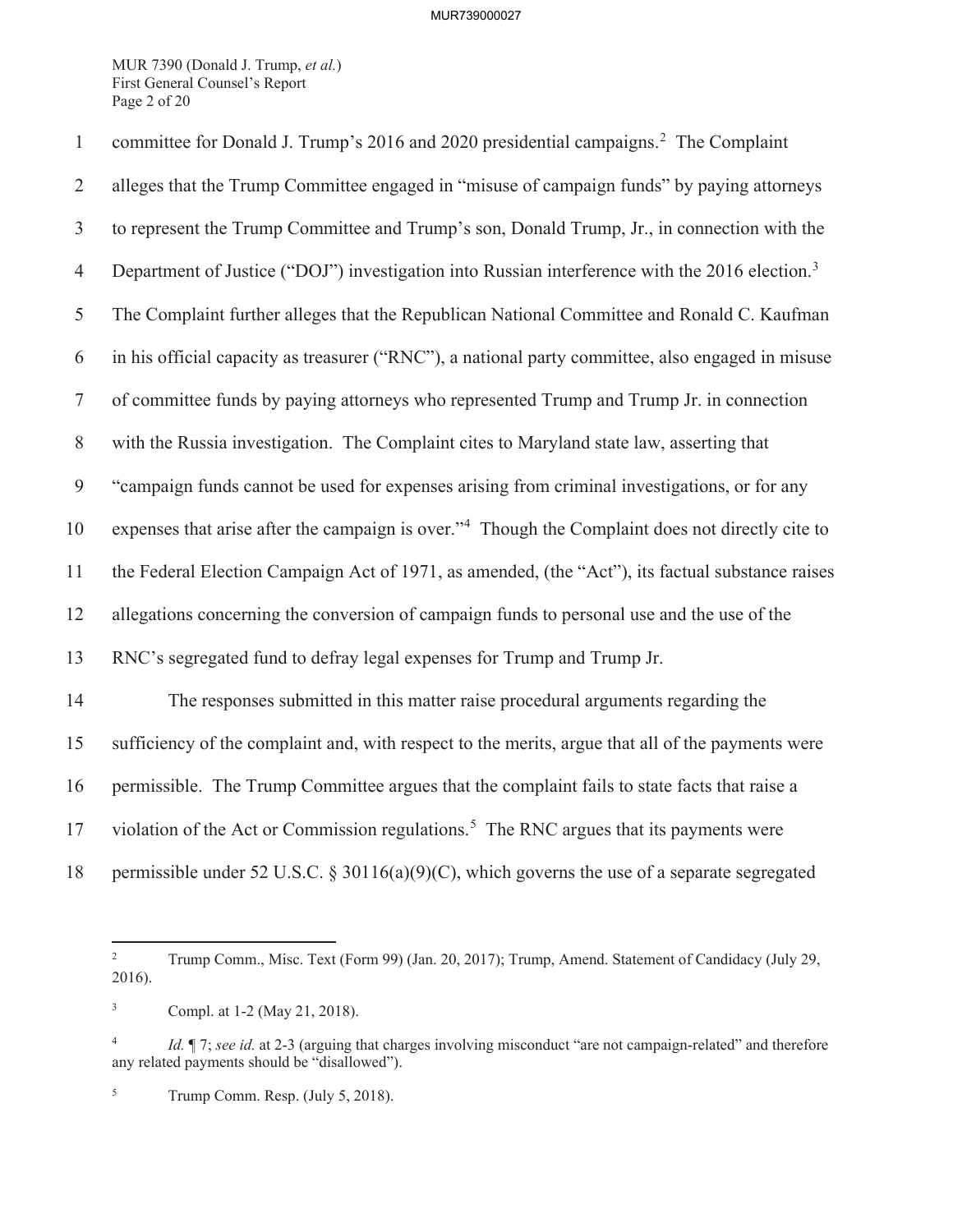MUR 7390 (Donald J. Trump, *et al.*) First General Counsel's Report Page 2 of 20

| $\mathbf{1}$   | committee for Donald J. Trump's 2016 and 2020 presidential campaigns. <sup>2</sup> The Complaint             |
|----------------|--------------------------------------------------------------------------------------------------------------|
| $\overline{2}$ | alleges that the Trump Committee engaged in "misuse of campaign funds" by paying attorneys                   |
| $\mathfrak{Z}$ | to represent the Trump Committee and Trump's son, Donald Trump, Jr., in connection with the                  |
| $\overline{4}$ | Department of Justice ("DOJ") investigation into Russian interference with the 2016 election. <sup>3</sup>   |
| 5              | The Complaint further alleges that the Republican National Committee and Ronald C. Kaufman                   |
| 6              | in his official capacity as treasurer ("RNC"), a national party committee, also engaged in misuse            |
| $\tau$         | of committee funds by paying attorneys who represented Trump and Trump Jr. in connection                     |
| $8\,$          | with the Russia investigation. The Complaint cites to Maryland state law, asserting that                     |
| 9              | "campaign funds cannot be used for expenses arising from criminal investigations, or for any                 |
| 10             | expenses that arise after the campaign is over." <sup>4</sup> Though the Complaint does not directly cite to |
| 11             | the Federal Election Campaign Act of 1971, as amended, (the "Act"), its factual substance raises             |
| 12             | allegations concerning the conversion of campaign funds to personal use and the use of the                   |
| 13             | RNC's segregated fund to defray legal expenses for Trump and Trump Jr.                                       |
| 14             | The responses submitted in this matter raise procedural arguments regarding the                              |
| 15             | sufficiency of the complaint and, with respect to the merits, argue that all of the payments were            |
| 16             | permissible. The Trump Committee argues that the complaint fails to state facts that raise a                 |
| 17             | violation of the Act or Commission regulations. <sup>5</sup> The RNC argues that its payments were           |
| 18             | permissible under 52 U.S.C. § 30116(a)(9)(C), which governs the use of a separate segregated                 |

<sup>2</sup> Trump Comm., Misc. Text (Form 99) (Jan. 20, 2017); Trump, Amend. Statement of Candidacy (July 29, 2016).

<sup>3</sup> Compl. at 1-2 (May 21, 2018).

<sup>&</sup>lt;sup>4</sup> *Id.*  $\llbracket$  7; *see id.* at 2-3 (arguing that charges involving misconduct "are not campaign-related" and therefore any related payments should be "disallowed").

<sup>&</sup>lt;sup>5</sup> Trump Comm. Resp. (July 5, 2018).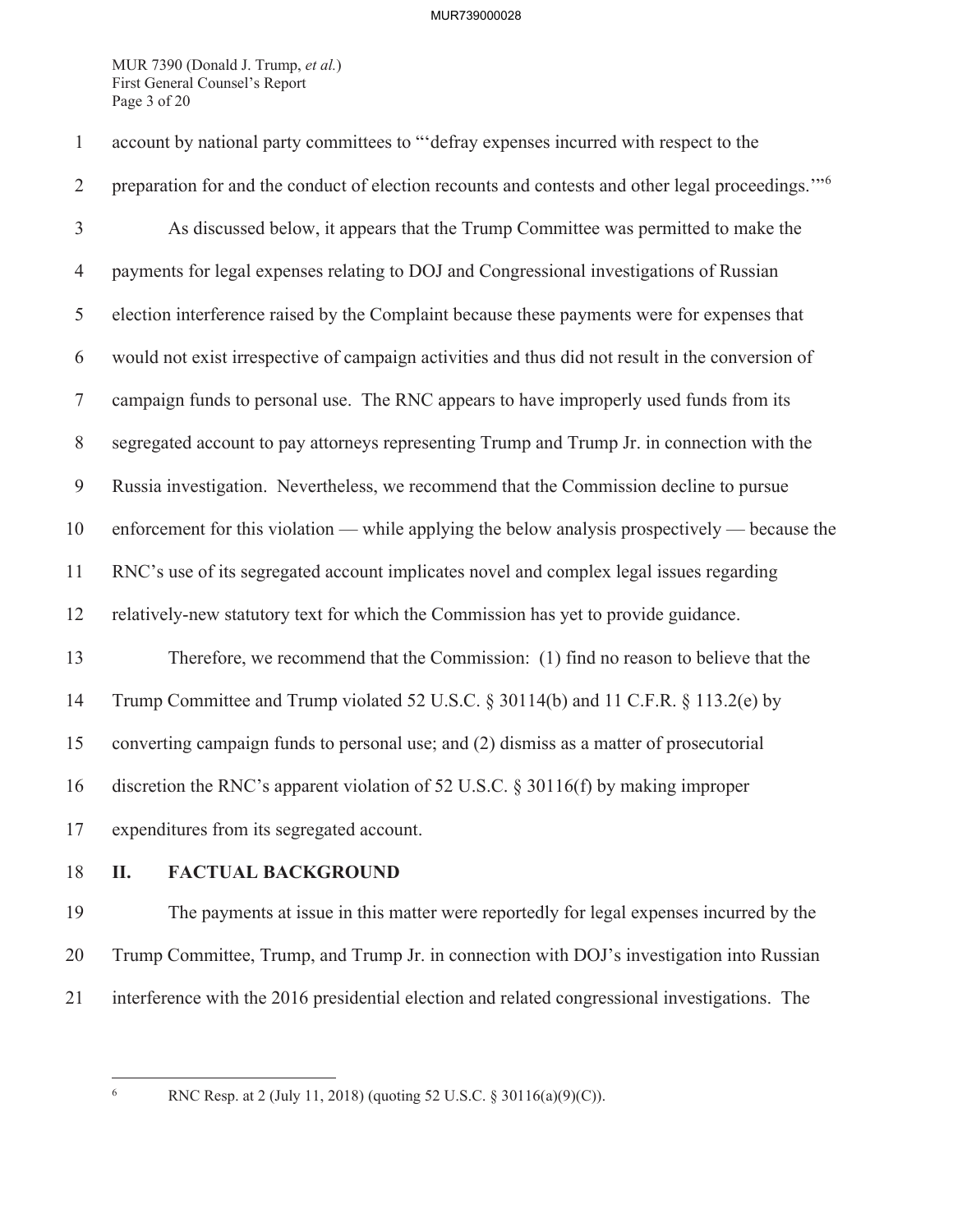MUR 7390 (Donald J. Trump, *et al.*) First General Counsel's Report Page 3 of 20

1 account by national party committees to "'defray expenses incurred with respect to the preparation for and the conduct of election recounts and contests and other legal proceedings."<sup>6</sup> 3 As discussed below, it appears that the Trump Committee was permitted to make the 4 payments for legal expenses relating to DOJ and Congressional investigations of Russian 5 election interference raised by the Complaint because these payments were for expenses that 6 would not exist irrespective of campaign activities and thus did not result in the conversion of 7 campaign funds to personal use. The RNC appears to have improperly used funds from its 8 segregated account to pay attorneys representing Trump and Trump Jr. in connection with the 9 Russia investigation. Nevertheless, we recommend that the Commission decline to pursue 10 enforcement for this violation — while applying the below analysis prospectively — because the 11 RNC's use of its segregated account implicates novel and complex legal issues regarding 12 relatively-new statutory text for which the Commission has yet to provide guidance. 13 Therefore, we recommend that the Commission: (1) find no reason to believe that the 14 Trump Committee and Trump violated 52 U.S.C. § 30114(b) and 11 C.F.R. § 113.2(e) by 15 converting campaign funds to personal use; and (2) dismiss as a matter of prosecutorial 16 discretion the RNC's apparent violation of 52 U.S.C. § 30116(f) by making improper 17 expenditures from its segregated account.

# 18 **II. FACTUAL BACKGROUND**

19 The payments at issue in this matter were reportedly for legal expenses incurred by the 20 Trump Committee, Trump, and Trump Jr. in connection with DOJ's investigation into Russian 21 interference with the 2016 presidential election and related congressional investigations. The

6

RNC Resp. at 2 (July 11, 2018) (quoting 52 U.S.C. § 30116(a)(9)(C)).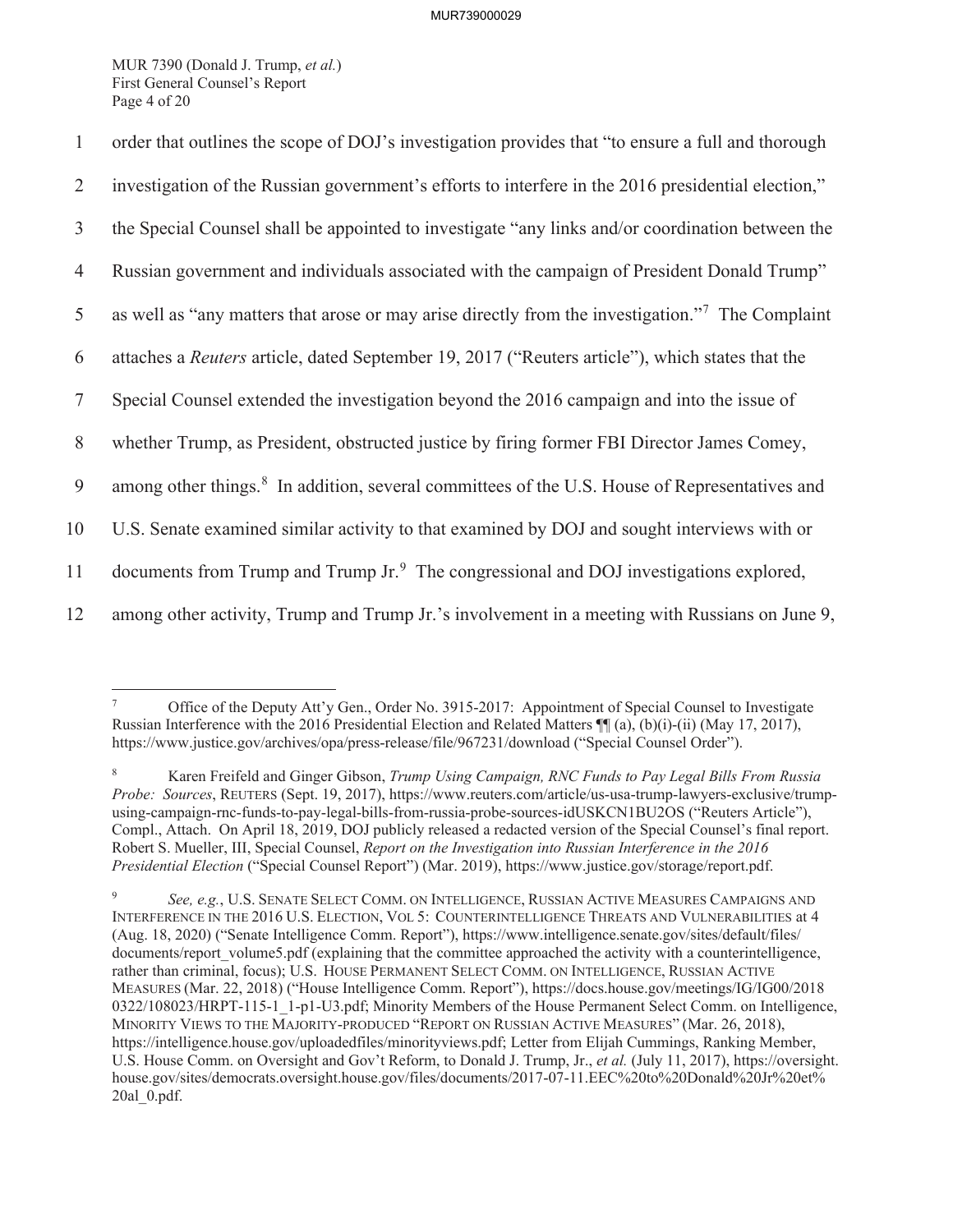MUR 7390 (Donald J. Trump, *et al.*) First General Counsel's Report Page 4 of 20

| 1              | order that outlines the scope of DOJ's investigation provides that "to ensure a full and thorough            |
|----------------|--------------------------------------------------------------------------------------------------------------|
| 2              | investigation of the Russian government's efforts to interfere in the 2016 presidential election,"           |
| $\mathfrak{Z}$ | the Special Counsel shall be appointed to investigate "any links and/or coordination between the             |
| $\overline{4}$ | Russian government and individuals associated with the campaign of President Donald Trump"                   |
| 5              | as well as "any matters that arose or may arise directly from the investigation." <sup>7</sup> The Complaint |
| 6              | attaches a Reuters article, dated September 19, 2017 ("Reuters article"), which states that the              |
| $\tau$         | Special Counsel extended the investigation beyond the 2016 campaign and into the issue of                    |
| 8              | whether Trump, as President, obstructed justice by firing former FBI Director James Comey,                   |
| 9              | among other things. <sup>8</sup> In addition, several committees of the U.S. House of Representatives and    |
| 10             | U.S. Senate examined similar activity to that examined by DOJ and sought interviews with or                  |
| 11             | documents from Trump and Trump Jr. <sup>9</sup> The congressional and DOJ investigations explored,           |
| 12             | among other activity, Trump and Trump Jr.'s involvement in a meeting with Russians on June 9,                |

<sup>7</sup> Office of the Deputy Att'y Gen., Order No. 3915-2017: Appointment of Special Counsel to Investigate Russian Interference with the 2016 Presidential Election and Related Matters ¶¶ (a), (b)(i)-(ii) (May 17, 2017), https://www.justice.gov/archives/opa/press-release/file/967231/download ("Special Counsel Order").

<sup>8</sup> Karen Freifeld and Ginger Gibson, *Trump Using Campaign, RNC Funds to Pay Legal Bills From Russia Probe: Sources*, REUTERS (Sept. 19, 2017), https://www.reuters.com/article/us-usa-trump-lawyers-exclusive/trumpusing-campaign-rnc-funds-to-pay-legal-bills-from-russia-probe-sources-idUSKCN1BU2OS ("Reuters Article"), Compl., Attach. On April 18, 2019, DOJ publicly released a redacted version of the Special Counsel's final report. Robert S. Mueller, III, Special Counsel, *Report on the Investigation into Russian Interference in the 2016 Presidential Election* ("Special Counsel Report") (Mar. 2019), https://www.justice.gov/storage/report.pdf.

<sup>9</sup> *See, e.g.*, U.S. SENATE SELECT COMM. ON INTELLIGENCE, RUSSIAN ACTIVE MEASURES CAMPAIGNS AND INTERFERENCE IN THE 2016 U.S. ELECTION, VOL 5: COUNTERINTELLIGENCE THREATS AND VULNERABILITIES at 4 (Aug. 18, 2020) ("Senate Intelligence Comm. Report"), https://www.intelligence.senate.gov/sites/default/files/ documents/report\_volume5.pdf (explaining that the committee approached the activity with a counterintelligence, rather than criminal, focus); U.S. HOUSE PERMANENT SELECT COMM. ON INTELLIGENCE, RUSSIAN ACTIVE MEASURES (Mar. 22, 2018) ("House Intelligence Comm. Report"), https://docs.house.gov/meetings/IG/IG00/2018 0322/108023/HRPT-115-1\_1-p1-U3.pdf; Minority Members of the House Permanent Select Comm. on Intelligence, MINORITY VIEWS TO THE MAJORITY-PRODUCED "REPORT ON RUSSIAN ACTIVE MEASURES" (Mar. 26, 2018), https://intelligence.house.gov/uploadedfiles/minorityviews.pdf; Letter from Elijah Cummings, Ranking Member, U.S. House Comm. on Oversight and Gov't Reform, to Donald J. Trump, Jr., *et al.* (July 11, 2017), https://oversight. house.gov/sites/democrats.oversight.house.gov/files/documents/2017-07-11.EEC%20to%20Donald%20Jr%20et% 20al\_0.pdf.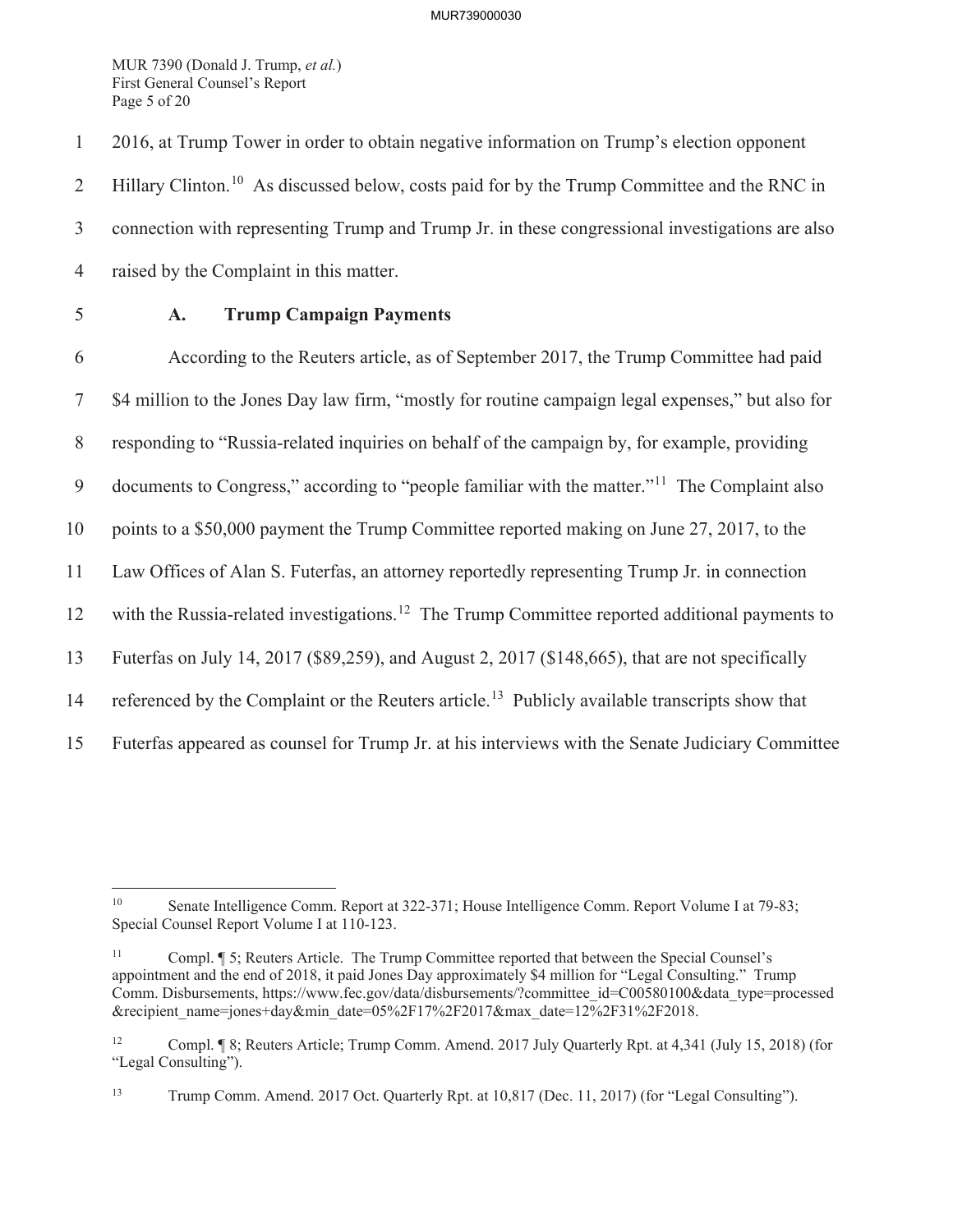MUR 7390 (Donald J. Trump, *et al.*) First General Counsel's Report Page 5 of 20

1 2016, at Trump Tower in order to obtain negative information on Trump's election opponent 2 Hillary Clinton.<sup>10</sup> As discussed below, costs paid for by the Trump Committee and the RNC in 3 connection with representing Trump and Trump Jr. in these congressional investigations are also 4 raised by the Complaint in this matter.

# 5 **A. Trump Campaign Payments**

6 According to the Reuters article, as of September 2017, the Trump Committee had paid 7 \$4 million to the Jones Day law firm, "mostly for routine campaign legal expenses," but also for 8 responding to "Russia-related inquiries on behalf of the campaign by, for example, providing 9 documents to Congress," according to "people familiar with the matter."<sup>11</sup> The Complaint also 10 points to a \$50,000 payment the Trump Committee reported making on June 27, 2017, to the 11 Law Offices of Alan S. Futerfas, an attorney reportedly representing Trump Jr. in connection 12 with the Russia-related investigations.<sup>12</sup> The Trump Committee reported additional payments to 13 Futerfas on July 14, 2017 (\$89,259), and August 2, 2017 (\$148,665), that are not specifically 14 referenced by the Complaint or the Reuters article.<sup>13</sup> Publicly available transcripts show that 15 Futerfas appeared as counsel for Trump Jr. at his interviews with the Senate Judiciary Committee

<sup>&</sup>lt;sup>10</sup> Senate Intelligence Comm. Report at 322-371; House Intelligence Comm. Report Volume I at 79-83; Special Counsel Report Volume I at 110-123.

<sup>11</sup> Compl. ¶ 5; Reuters Article. The Trump Committee reported that between the Special Counsel's appointment and the end of 2018, it paid Jones Day approximately \$4 million for "Legal Consulting." Trump Comm. Disbursements, https://www.fec.gov/data/disbursements/?committee\_id=C00580100&data\_type=processed &recipient\_name=jones+day&min\_date=05%2F17%2F2017&max\_date=12%2F31%2F2018.

<sup>12</sup> Compl. ¶ 8; Reuters Article; Trump Comm. Amend. 2017 July Quarterly Rpt. at 4,341 (July 15, 2018) (for "Legal Consulting").

<sup>13</sup> Trump Comm. Amend. 2017 Oct. Quarterly Rpt. at 10,817 (Dec. 11, 2017) (for "Legal Consulting").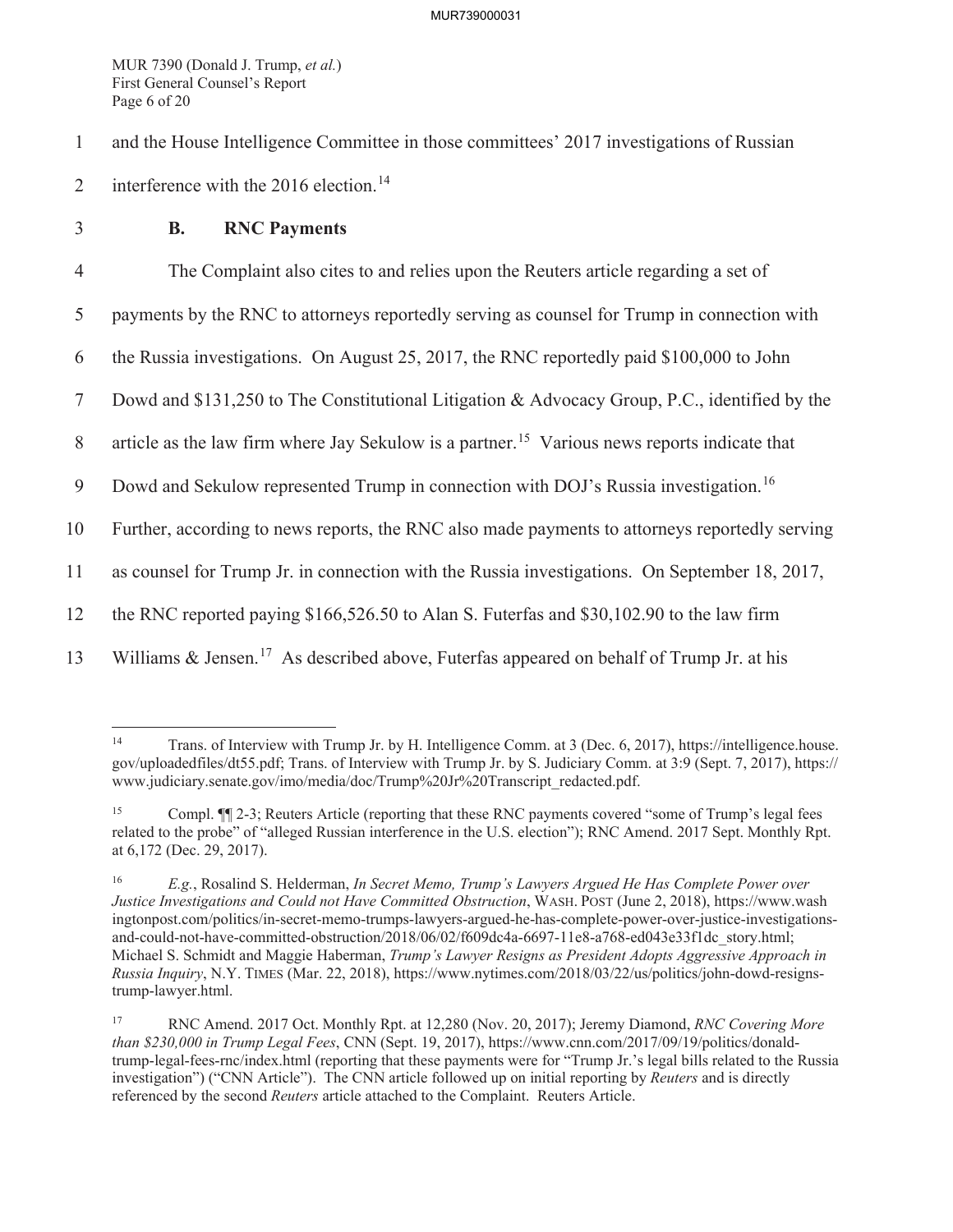MUR 7390 (Donald J. Trump, *et al.*) First General Counsel's Report Page 6 of 20

1 and the House Intelligence Committee in those committees' 2017 investigations of Russian

- 2 interference with the 2016 election.<sup>14</sup>
- 3 **B. RNC Payments**

4 The Complaint also cites to and relies upon the Reuters article regarding a set of

5 payments by the RNC to attorneys reportedly serving as counsel for Trump in connection with

6 the Russia investigations. On August 25, 2017, the RNC reportedly paid \$100,000 to John

7 Dowd and \$131,250 to The Constitutional Litigation & Advocacy Group, P.C., identified by the

8 article as the law firm where Jay Sekulow is a partner.<sup>15</sup> Various news reports indicate that

9 Dowd and Sekulow represented Trump in connection with DOJ's Russia investigation.<sup>16</sup>

10 Further, according to news reports, the RNC also made payments to attorneys reportedly serving

11 as counsel for Trump Jr. in connection with the Russia investigations. On September 18, 2017,

12 the RNC reported paying \$166,526.50 to Alan S. Futerfas and \$30,102.90 to the law firm

13 Williams & Jensen.<sup>17</sup> As described above, Futerfas appeared on behalf of Trump Jr. at his

<sup>14</sup> Trans. of Interview with Trump Jr. by H. Intelligence Comm. at 3 (Dec. 6, 2017), https://intelligence.house. gov/uploadedfiles/dt55.pdf; Trans. of Interview with Trump Jr. by S. Judiciary Comm. at 3:9 (Sept. 7, 2017), https:// www.judiciary.senate.gov/imo/media/doc/Trump%20Jr%20Transcript\_redacted.pdf.

<sup>15</sup> Compl. ¶¶ 2-3; Reuters Article (reporting that these RNC payments covered "some of Trump's legal fees related to the probe" of "alleged Russian interference in the U.S. election"); RNC Amend. 2017 Sept. Monthly Rpt. at 6,172 (Dec. 29, 2017).

<sup>16</sup> *E.g.*, Rosalind S. Helderman, *In Secret Memo, Trump's Lawyers Argued He Has Complete Power over Justice Investigations and Could not Have Committed Obstruction*, WASH. POST (June 2, 2018), https://www.wash ingtonpost.com/politics/in-secret-memo-trumps-lawyers-argued-he-has-complete-power-over-justice-investigationsand-could-not-have-committed-obstruction/2018/06/02/f609dc4a-6697-11e8-a768-ed043e33f1dc\_story.html; Michael S. Schmidt and Maggie Haberman, *Trump's Lawyer Resigns as President Adopts Aggressive Approach in Russia Inquiry*, N.Y. TIMES (Mar. 22, 2018), https://www.nytimes.com/2018/03/22/us/politics/john-dowd-resignstrump-lawyer.html.

<sup>17</sup> RNC Amend. 2017 Oct. Monthly Rpt. at 12,280 (Nov. 20, 2017); Jeremy Diamond, *RNC Covering More than \$230,000 in Trump Legal Fees*, CNN (Sept. 19, 2017), https://www.cnn.com/2017/09/19/politics/donaldtrump-legal-fees-rnc/index.html (reporting that these payments were for "Trump Jr.'s legal bills related to the Russia investigation") ("CNN Article"). The CNN article followed up on initial reporting by *Reuters* and is directly referenced by the second *Reuters* article attached to the Complaint. Reuters Article.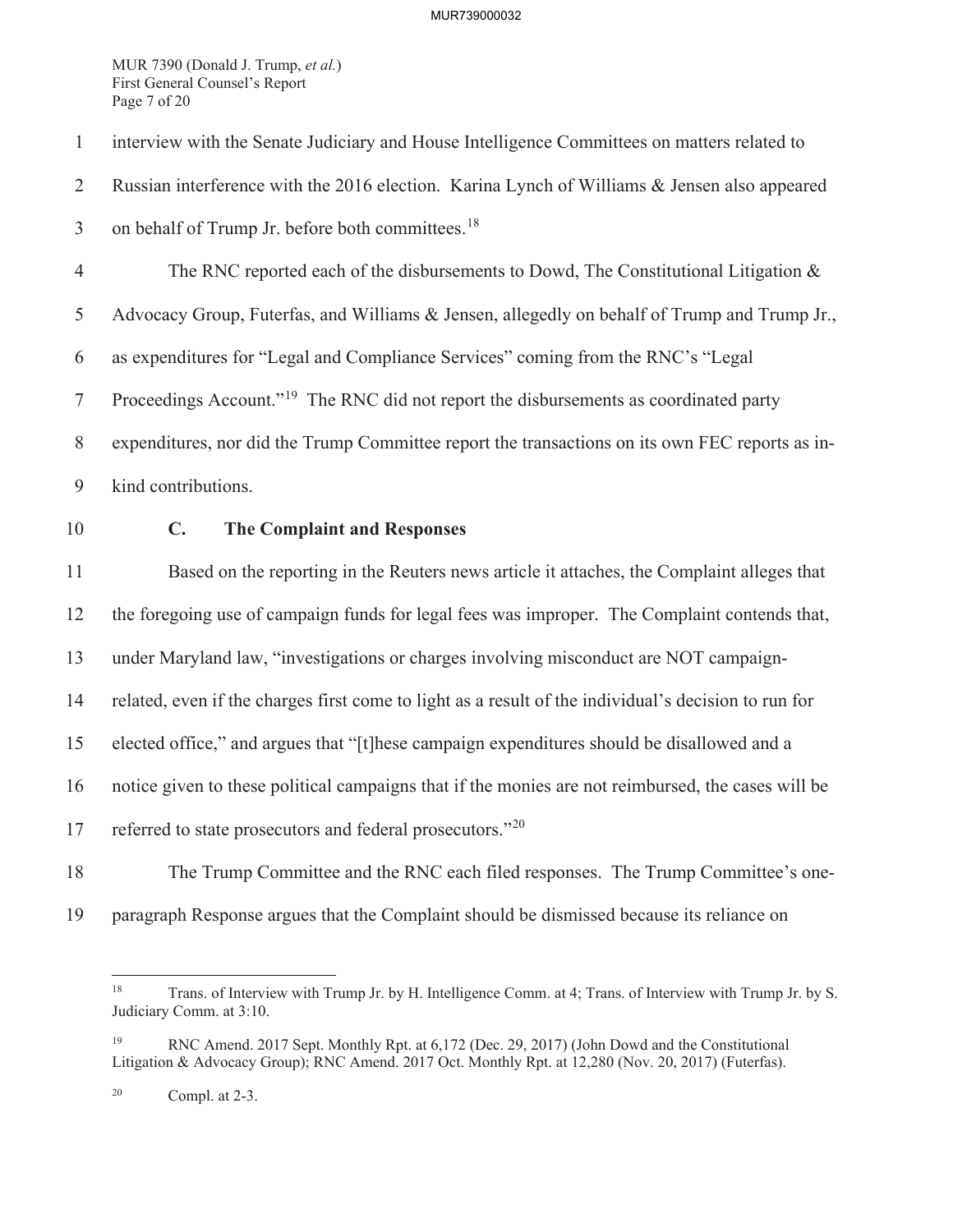MUR 7390 (Donald J. Trump, *et al.*) First General Counsel's Report Page 7 of 20

1 interview with the Senate Judiciary and House Intelligence Committees on matters related to

2 Russian interference with the 2016 election. Karina Lynch of Williams & Jensen also appeared

3 on behalf of Trump Jr. before both committees.<sup>18</sup>

4 The RNC reported each of the disbursements to Dowd, The Constitutional Litigation &

5 Advocacy Group, Futerfas, and Williams & Jensen, allegedly on behalf of Trump and Trump Jr.,

6 as expenditures for "Legal and Compliance Services" coming from the RNC's "Legal

Proceedings Account."<sup>19</sup> The RNC did not report the disbursements as coordinated party

8 expenditures, nor did the Trump Committee report the transactions on its own FEC reports as in-

- 9 kind contributions.
- 

# 10 **C. The Complaint and Responses**

11 Based on the reporting in the Reuters news article it attaches, the Complaint alleges that

12 the foregoing use of campaign funds for legal fees was improper. The Complaint contends that,

13 under Maryland law, "investigations or charges involving misconduct are NOT campaign-

14 related, even if the charges first come to light as a result of the individual's decision to run for

15 elected office," and argues that "[t]hese campaign expenditures should be disallowed and a

16 notice given to these political campaigns that if the monies are not reimbursed, the cases will be

- 17 referred to state prosecutors and federal prosecutors."<sup>20</sup>
- 

18 The Trump Committee and the RNC each filed responses. The Trump Committee's one-

19 paragraph Response argues that the Complaint should be dismissed because its reliance on

<sup>18</sup> Trans. of Interview with Trump Jr. by H. Intelligence Comm. at 4; Trans. of Interview with Trump Jr. by S. Judiciary Comm. at 3:10.

RNC Amend. 2017 Sept. Monthly Rpt. at 6,172 (Dec. 29, 2017) (John Dowd and the Constitutional Litigation & Advocacy Group); RNC Amend. 2017 Oct. Monthly Rpt. at 12,280 (Nov. 20, 2017) (Futerfas).

 $20$  Compl. at  $2-3$ .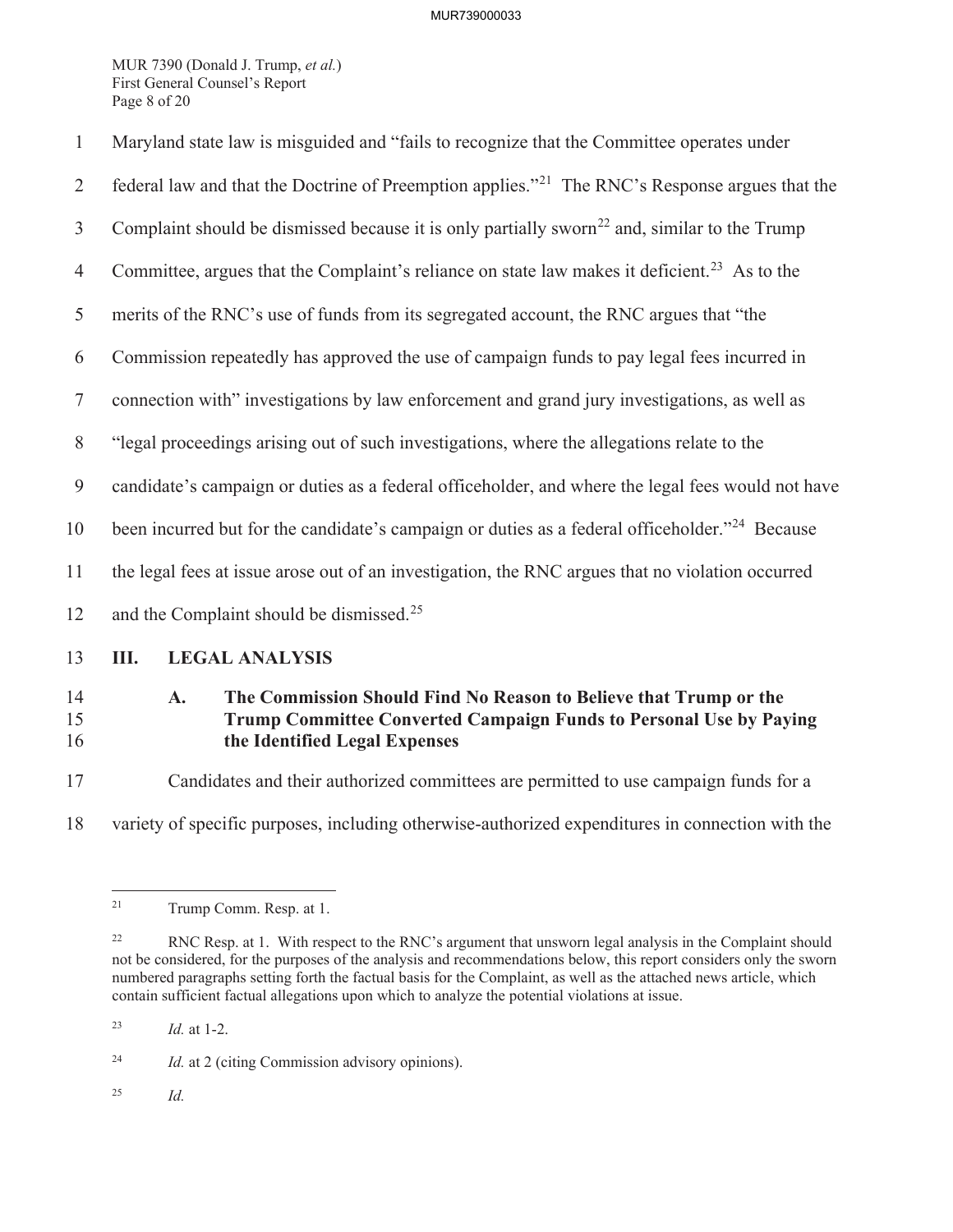MUR 7390 (Donald J. Trump, *et al.*) First General Counsel's Report Page 8 of 20

| $\mathbf{1}$   | Maryland state law is misguided and "fails to recognize that the Committee operates under                                                                                             |  |  |
|----------------|---------------------------------------------------------------------------------------------------------------------------------------------------------------------------------------|--|--|
| 2              | federal law and that the Doctrine of Preemption applies." <sup>21</sup> The RNC's Response argues that the                                                                            |  |  |
| $\mathfrak{Z}$ | Complaint should be dismissed because it is only partially sworn <sup>22</sup> and, similar to the Trump                                                                              |  |  |
| $\overline{4}$ | Committee, argues that the Complaint's reliance on state law makes it deficient. <sup>23</sup> As to the                                                                              |  |  |
| 5              | merits of the RNC's use of funds from its segregated account, the RNC argues that "the                                                                                                |  |  |
| 6              | Commission repeatedly has approved the use of campaign funds to pay legal fees incurred in                                                                                            |  |  |
| $\tau$         | connection with" investigations by law enforcement and grand jury investigations, as well as                                                                                          |  |  |
| 8              | "legal proceedings arising out of such investigations, where the allegations relate to the                                                                                            |  |  |
| 9              | candidate's campaign or duties as a federal officeholder, and where the legal fees would not have                                                                                     |  |  |
| 10             | been incurred but for the candidate's campaign or duties as a federal officeholder." <sup>24</sup> Because                                                                            |  |  |
| 11             | the legal fees at issue arose out of an investigation, the RNC argues that no violation occurred                                                                                      |  |  |
| 12             | and the Complaint should be dismissed. <sup>25</sup>                                                                                                                                  |  |  |
| 13             | Ш.<br><b>LEGAL ANALYSIS</b>                                                                                                                                                           |  |  |
| 14<br>15<br>16 | The Commission Should Find No Reason to Believe that Trump or the<br>A.<br><b>Trump Committee Converted Campaign Funds to Personal Use by Paying</b><br>the Identified Legal Expenses |  |  |
| 17             | Candidates and their authorized committees are permitted to use campaign funds for a                                                                                                  |  |  |

18 variety of specific purposes, including otherwise-authorized expenditures in connection with the

23 *Id.* at 1-2.

25 *Id.*

<sup>&</sup>lt;sup>21</sup> Trump Comm. Resp. at 1.

<sup>&</sup>lt;sup>22</sup> RNC Resp. at 1. With respect to the RNC's argument that unsworn legal analysis in the Complaint should not be considered, for the purposes of the analysis and recommendations below, this report considers only the sworn numbered paragraphs setting forth the factual basis for the Complaint, as well as the attached news article, which contain sufficient factual allegations upon which to analyze the potential violations at issue.

<sup>24</sup> *Id.* at 2 (citing Commission advisory opinions).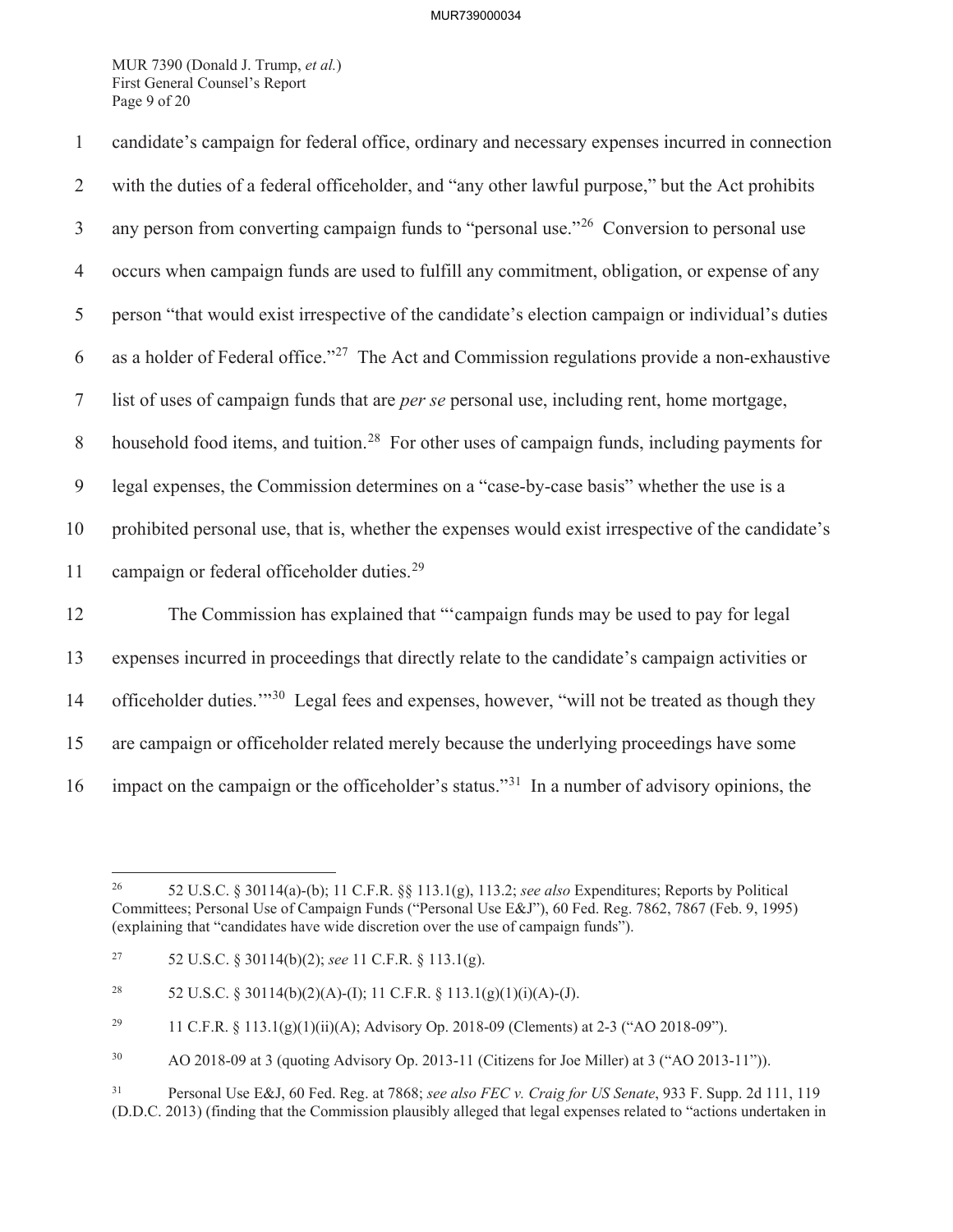MUR 7390 (Donald J. Trump, *et al.*) First General Counsel's Report Page 9 of 20

| $\mathbf{1}$   | candidate's campaign for federal office, ordinary and necessary expenses incurred in connection           |
|----------------|-----------------------------------------------------------------------------------------------------------|
| $\overline{2}$ | with the duties of a federal officeholder, and "any other lawful purpose," but the Act prohibits          |
| $\mathfrak{Z}$ | any person from converting campaign funds to "personal use." <sup>26</sup> Conversion to personal use     |
| $\overline{4}$ | occurs when campaign funds are used to fulfill any commitment, obligation, or expense of any              |
| 5              | person "that would exist irrespective of the candidate's election campaign or individual's duties         |
| 6              | as a holder of Federal office." <sup>27</sup> The Act and Commission regulations provide a non-exhaustive |
| $\tau$         | list of uses of campaign funds that are <i>per se</i> personal use, including rent, home mortgage,        |
| $8\,$          | household food items, and tuition. <sup>28</sup> For other uses of campaign funds, including payments for |
| 9              | legal expenses, the Commission determines on a "case-by-case basis" whether the use is a                  |
| 10             | prohibited personal use, that is, whether the expenses would exist irrespective of the candidate's        |
| 11             | campaign or federal officeholder duties. <sup>29</sup>                                                    |
| 12             | The Commission has explained that "'campaign funds may be used to pay for legal                           |
| 13             | expenses incurred in proceedings that directly relate to the candidate's campaign activities or           |
| 14             | officeholder duties." <sup>30</sup> Legal fees and expenses, however, "will not be treated as though they |
| 15             | are campaign or officeholder related merely because the underlying proceedings have some                  |
| 16             | impact on the campaign or the officeholder's status." <sup>31</sup> In a number of advisory opinions, the |

<sup>26</sup> 52 U.S.C. § 30114(a)-(b); 11 C.F.R. §§ 113.1(g), 113.2; *see also* Expenditures; Reports by Political Committees; Personal Use of Campaign Funds ("Personal Use E&J"), 60 Fed. Reg. 7862, 7867 (Feb. 9, 1995) (explaining that "candidates have wide discretion over the use of campaign funds").

<sup>27</sup> 52 U.S.C. § 30114(b)(2); *see* 11 C.F.R. § 113.1(g).

<sup>&</sup>lt;sup>28</sup> 52 U.S.C. § 30114(b)(2)(A)-(I); 11 C.F.R. § 113.1(g)(1)(i)(A)-(J).

<sup>&</sup>lt;sup>29</sup> 11 C.F.R. § 113.1(g)(1)(ii)(A); Advisory Op. 2018-09 (Clements) at 2-3 ("AO 2018-09").

<sup>30</sup> AO 2018-09 at 3 (quoting Advisory Op. 2013-11 (Citizens for Joe Miller) at 3 ("AO 2013-11")).

<sup>31</sup> Personal Use E&J, 60 Fed. Reg. at 7868; *see also FEC v. Craig for US Senate*, 933 F. Supp. 2d 111, 119 (D.D.C. 2013) (finding that the Commission plausibly alleged that legal expenses related to "actions undertaken in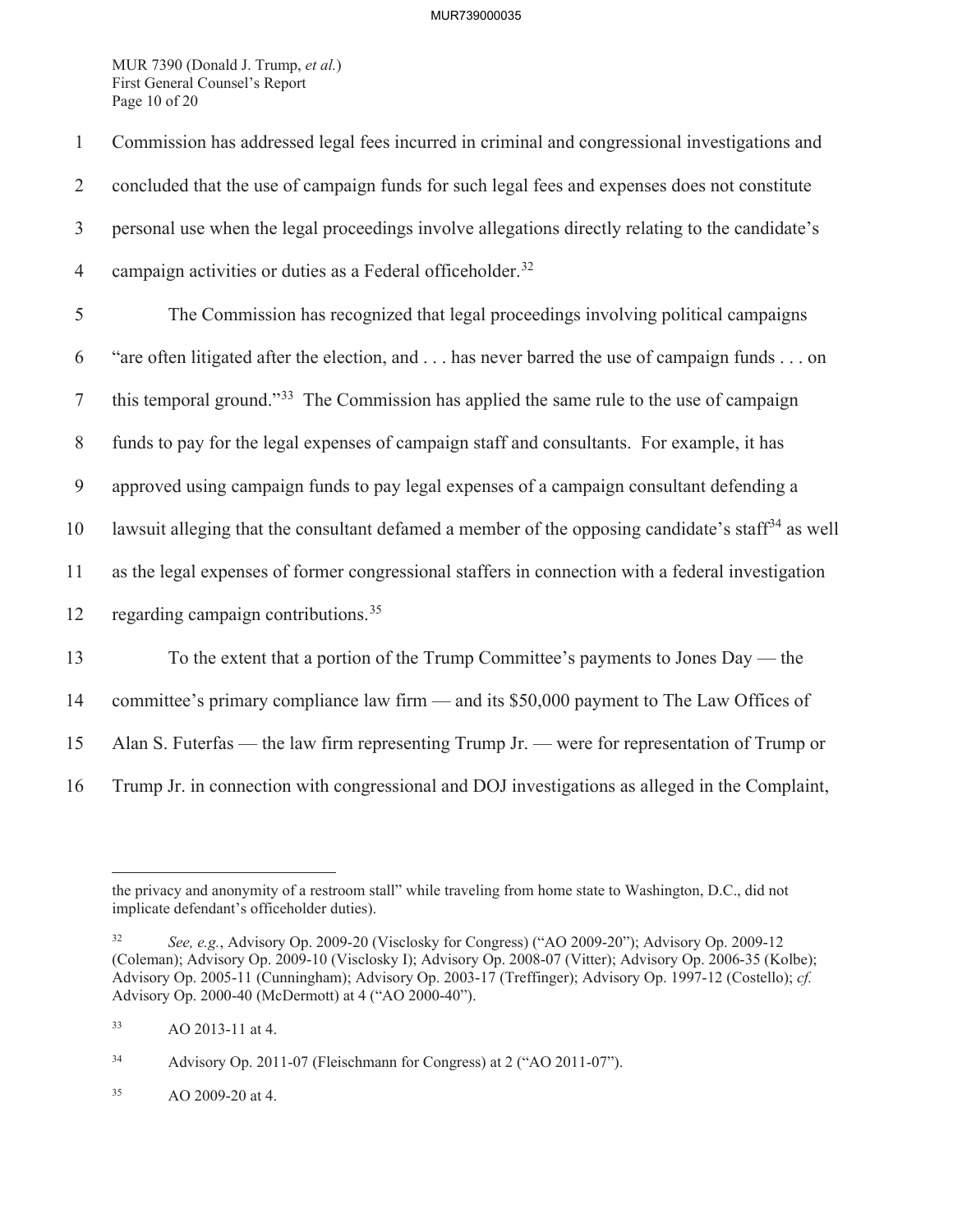MUR 7390 (Donald J. Trump, *et al.*) First General Counsel's Report Page 10 of 20

| $\mathbf{1}$   | Commission has addressed legal fees incurred in criminal and congressional investigations and                 |
|----------------|---------------------------------------------------------------------------------------------------------------|
| $\overline{2}$ | concluded that the use of campaign funds for such legal fees and expenses does not constitute                 |
| $\mathfrak{Z}$ | personal use when the legal proceedings involve allegations directly relating to the candidate's              |
| $\overline{4}$ | campaign activities or duties as a Federal officeholder. <sup>32</sup>                                        |
| 5              | The Commission has recognized that legal proceedings involving political campaigns                            |
| 6              | "are often litigated after the election, and has never barred the use of campaign funds on                    |
| $\tau$         | this temporal ground." <sup>33</sup> The Commission has applied the same rule to the use of campaign          |
| $8\,$          | funds to pay for the legal expenses of campaign staff and consultants. For example, it has                    |
| $\overline{9}$ | approved using campaign funds to pay legal expenses of a campaign consultant defending a                      |
| 10             | lawsuit alleging that the consultant defamed a member of the opposing candidate's staff <sup>34</sup> as well |
| 11             | as the legal expenses of former congressional staffers in connection with a federal investigation             |
| 12             | regarding campaign contributions. <sup>35</sup>                                                               |
| 13             | To the extent that a portion of the Trump Committee's payments to Jones Day — the                             |
| 14             | committee's primary compliance law firm — and its \$50,000 payment to The Law Offices of                      |
| 15             | Alan S. Futerfas — the law firm representing Trump Jr. — were for representation of Trump or                  |
| 16             | Trump Jr. in connection with congressional and DOJ investigations as alleged in the Complaint,                |

the privacy and anonymity of a restroom stall" while traveling from home state to Washington, D.C., did not implicate defendant's officeholder duties).

<sup>32</sup> *See, e.g.*, Advisory Op. 2009-20 (Visclosky for Congress) ("AO 2009-20"); Advisory Op. 2009-12 (Coleman); Advisory Op. 2009-10 (Visclosky I); Advisory Op. 2008-07 (Vitter); Advisory Op. 2006-35 (Kolbe); Advisory Op. 2005-11 (Cunningham); Advisory Op. 2003-17 (Treffinger); Advisory Op. 1997-12 (Costello); *cf.*  Advisory Op. 2000-40 (McDermott) at 4 ("AO 2000-40").

<sup>33</sup> AO 2013-11 at 4.

<sup>34</sup> Advisory Op. 2011-07 (Fleischmann for Congress) at 2 ("AO 2011-07").

<sup>35</sup> AO 2009-20 at 4.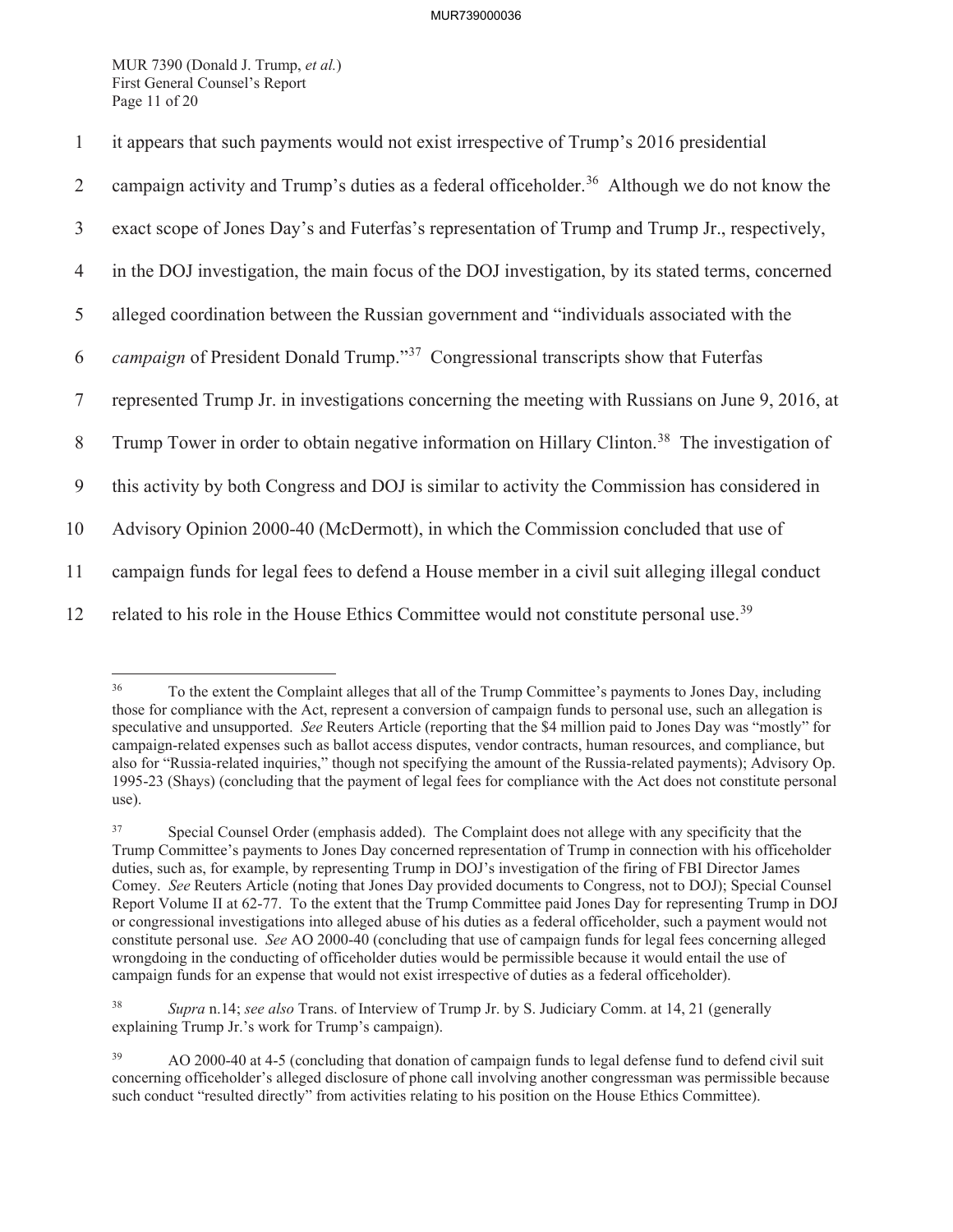MUR 7390 (Donald J. Trump, *et al.*) First General Counsel's Report Page 11 of 20

| $\mathbf{1}$   | it appears that such payments would not exist irrespective of Trump's 2016 presidential                    |
|----------------|------------------------------------------------------------------------------------------------------------|
| 2              | campaign activity and Trump's duties as a federal officeholder. <sup>36</sup> Although we do not know the  |
| 3              | exact scope of Jones Day's and Futerfas's representation of Trump and Trump Jr., respectively,             |
| 4              | in the DOJ investigation, the main focus of the DOJ investigation, by its stated terms, concerned          |
| 5              | alleged coordination between the Russian government and "individuals associated with the                   |
| 6              | <i>campaign</i> of President Donald Trump." <sup>37</sup> Congressional transcripts show that Futerfas     |
| $\overline{7}$ | represented Trump Jr. in investigations concerning the meeting with Russians on June 9, 2016, at           |
| 8              | Trump Tower in order to obtain negative information on Hillary Clinton. <sup>38</sup> The investigation of |
| 9              | this activity by both Congress and DOJ is similar to activity the Commission has considered in             |
| 10             | Advisory Opinion 2000-40 (McDermott), in which the Commission concluded that use of                        |
| 11             | campaign funds for legal fees to defend a House member in a civil suit alleging illegal conduct            |
| 12             | related to his role in the House Ethics Committee would not constitute personal use. <sup>39</sup>         |

<sup>36</sup> To the extent the Complaint alleges that all of the Trump Committee's payments to Jones Day, including those for compliance with the Act, represent a conversion of campaign funds to personal use, such an allegation is speculative and unsupported. *See* Reuters Article (reporting that the \$4 million paid to Jones Day was "mostly" for campaign-related expenses such as ballot access disputes, vendor contracts, human resources, and compliance, but also for "Russia-related inquiries," though not specifying the amount of the Russia-related payments); Advisory Op. 1995-23 (Shays) (concluding that the payment of legal fees for compliance with the Act does not constitute personal use).

38 *Supra* n.14; *see also* Trans. of Interview of Trump Jr. by S. Judiciary Comm. at 14, 21 (generally explaining Trump Jr.'s work for Trump's campaign).

<sup>37</sup> Special Counsel Order (emphasis added). The Complaint does not allege with any specificity that the Trump Committee's payments to Jones Day concerned representation of Trump in connection with his officeholder duties, such as, for example, by representing Trump in DOJ's investigation of the firing of FBI Director James Comey. *See* Reuters Article (noting that Jones Day provided documents to Congress, not to DOJ); Special Counsel Report Volume II at 62-77. To the extent that the Trump Committee paid Jones Day for representing Trump in DOJ or congressional investigations into alleged abuse of his duties as a federal officeholder, such a payment would not constitute personal use. *See* AO 2000-40 (concluding that use of campaign funds for legal fees concerning alleged wrongdoing in the conducting of officeholder duties would be permissible because it would entail the use of campaign funds for an expense that would not exist irrespective of duties as a federal officeholder).

<sup>&</sup>lt;sup>39</sup> AO 2000-40 at 4-5 (concluding that donation of campaign funds to legal defense fund to defend civil suit concerning officeholder's alleged disclosure of phone call involving another congressman was permissible because such conduct "resulted directly" from activities relating to his position on the House Ethics Committee).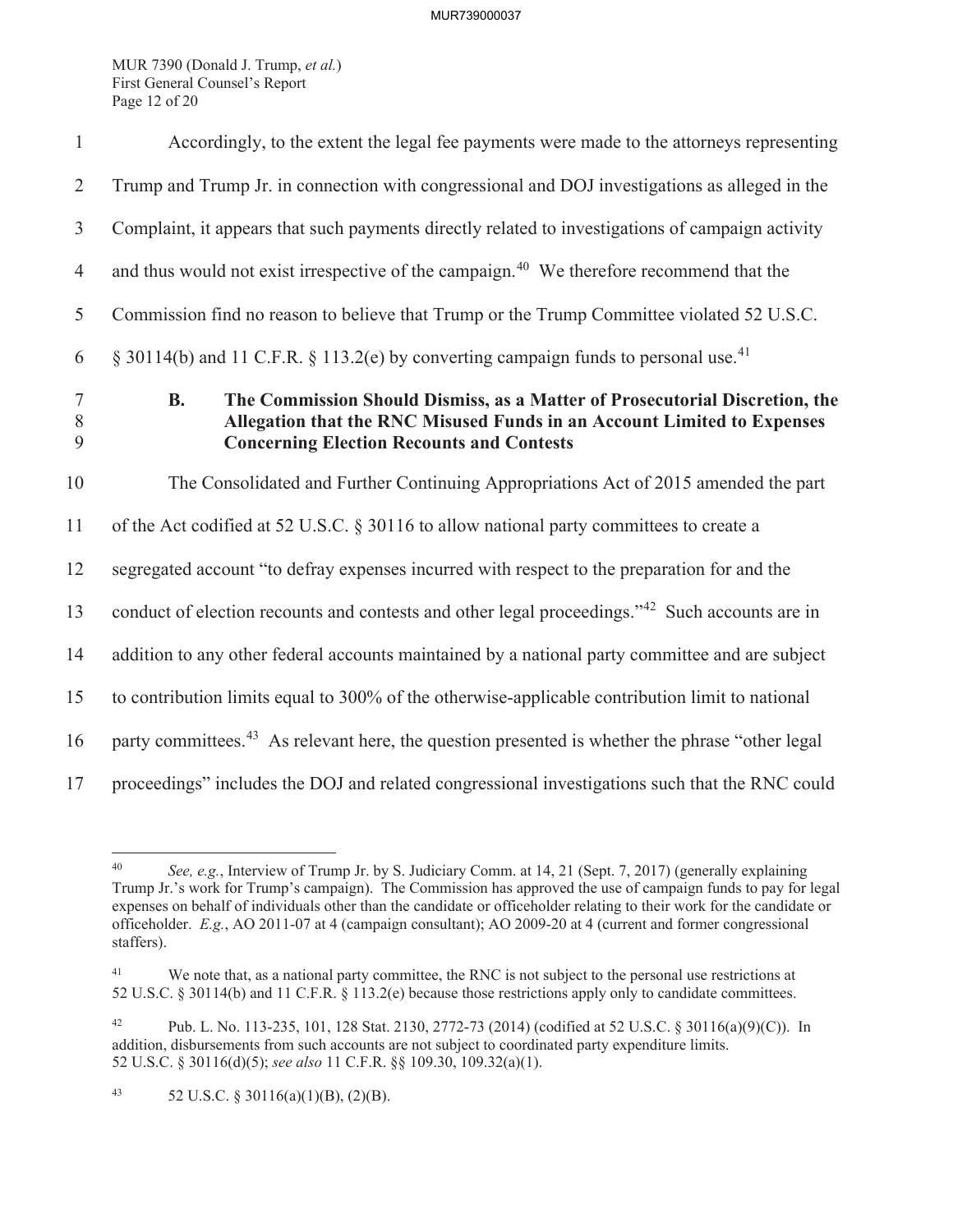MUR 7390 (Donald J. Trump, *et al.*) First General Counsel's Report Page 12 of 20

| $\mathbf{1}$         | Accordingly, to the extent the legal fee payments were made to the attorneys representing                                                                                                                               |
|----------------------|-------------------------------------------------------------------------------------------------------------------------------------------------------------------------------------------------------------------------|
| $\overline{2}$       | Trump and Trump Jr. in connection with congressional and DOJ investigations as alleged in the                                                                                                                           |
| $\mathfrak{Z}$       | Complaint, it appears that such payments directly related to investigations of campaign activity                                                                                                                        |
| $\overline{4}$       | and thus would not exist irrespective of the campaign. <sup>40</sup> We therefore recommend that the                                                                                                                    |
| $\mathfrak{S}$       | Commission find no reason to believe that Trump or the Trump Committee violated 52 U.S.C.                                                                                                                               |
| 6                    | § 30114(b) and 11 C.F.R. § 113.2(e) by converting campaign funds to personal use. <sup>41</sup>                                                                                                                         |
| $\tau$<br>$8\,$<br>9 | <b>B.</b><br>The Commission Should Dismiss, as a Matter of Prosecutorial Discretion, the<br>Allegation that the RNC Misused Funds in an Account Limited to Expenses<br><b>Concerning Election Recounts and Contests</b> |
| 10                   | The Consolidated and Further Continuing Appropriations Act of 2015 amended the part                                                                                                                                     |
| 11                   | of the Act codified at 52 U.S.C. § 30116 to allow national party committees to create a                                                                                                                                 |
| 12                   | segregated account "to defray expenses incurred with respect to the preparation for and the                                                                                                                             |
| 13                   | conduct of election recounts and contests and other legal proceedings." <sup>42</sup> Such accounts are in                                                                                                              |
| 14                   | addition to any other federal accounts maintained by a national party committee and are subject                                                                                                                         |
| 15                   | to contribution limits equal to 300% of the otherwise-applicable contribution limit to national                                                                                                                         |
| 16                   | party committees. <sup>43</sup> As relevant here, the question presented is whether the phrase "other legal                                                                                                             |
| 17                   | proceedings" includes the DOJ and related congressional investigations such that the RNC could                                                                                                                          |

<sup>40</sup> *See, e.g.*, Interview of Trump Jr. by S. Judiciary Comm. at 14, 21 (Sept. 7, 2017) (generally explaining Trump Jr.'s work for Trump's campaign). The Commission has approved the use of campaign funds to pay for legal expenses on behalf of individuals other than the candidate or officeholder relating to their work for the candidate or officeholder. *E.g.*, AO 2011-07 at 4 (campaign consultant); AO 2009-20 at 4 (current and former congressional staffers).

<sup>&</sup>lt;sup>41</sup> We note that, as a national party committee, the RNC is not subject to the personal use restrictions at 52 U.S.C. § 30114(b) and 11 C.F.R. § 113.2(e) because those restrictions apply only to candidate committees.

<sup>42</sup> Pub. L. No. 113-235, 101, 128 Stat. 2130, 2772-73 (2014) (codified at 52 U.S.C. § 30116(a)(9)(C)). In addition, disbursements from such accounts are not subject to coordinated party expenditure limits. 52 U.S.C. § 30116(d)(5); *see also* 11 C.F.R. §§ 109.30, 109.32(a)(1).

<sup>43 52</sup> U.S.C.  $\S 30116(a)(1)(B)$ , (2)(B).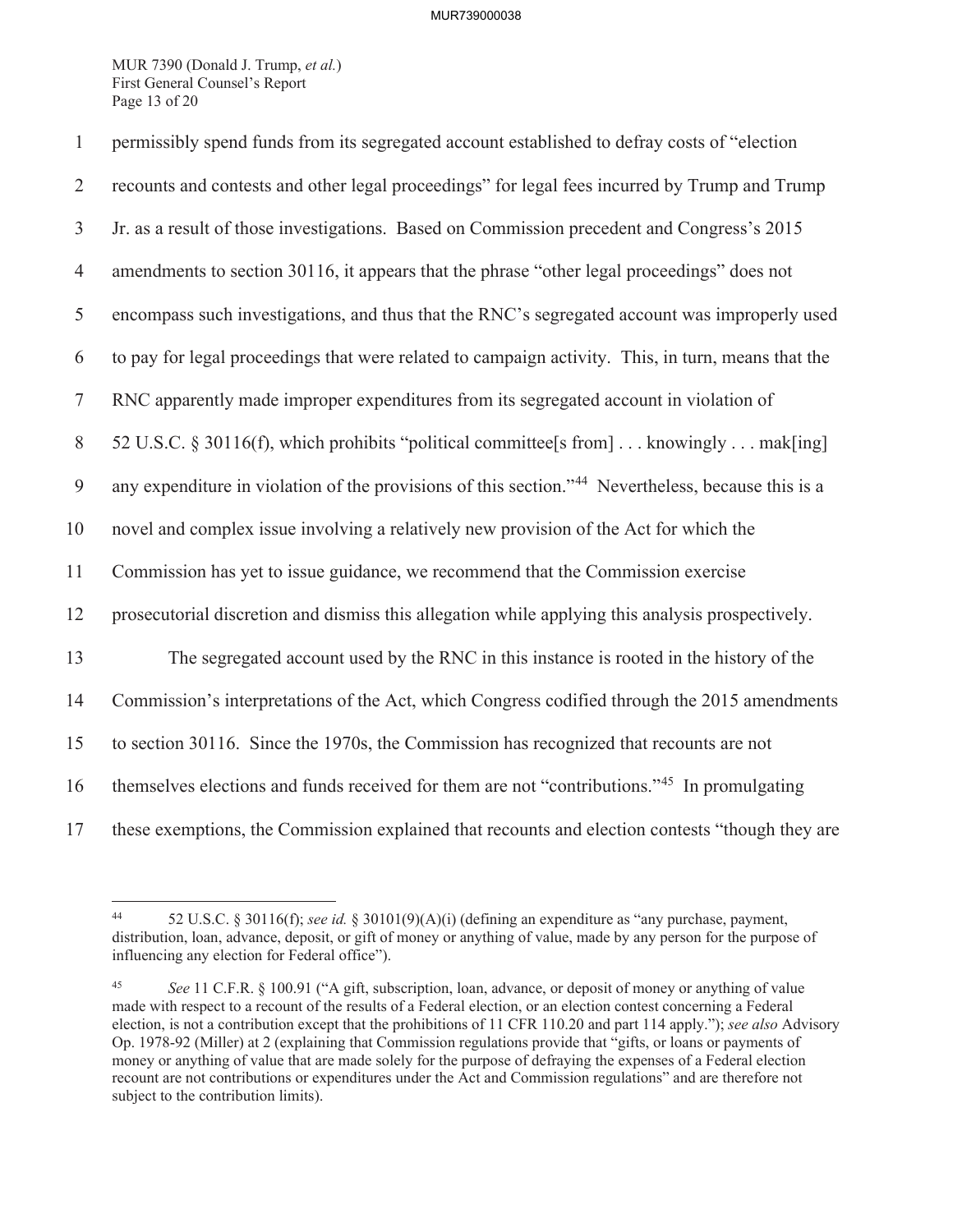MUR 7390 (Donald J. Trump, *et al.*) First General Counsel's Report Page 13 of 20

| $\mathbf{1}$   | permissibly spend funds from its segregated account established to defray costs of "election                   |
|----------------|----------------------------------------------------------------------------------------------------------------|
| $\overline{2}$ | recounts and contests and other legal proceedings" for legal fees incurred by Trump and Trump                  |
| $\mathfrak{Z}$ | Jr. as a result of those investigations. Based on Commission precedent and Congress's 2015                     |
| $\overline{4}$ | amendments to section 30116, it appears that the phrase "other legal proceedings" does not                     |
| 5              | encompass such investigations, and thus that the RNC's segregated account was improperly used                  |
| 6              | to pay for legal proceedings that were related to campaign activity. This, in turn, means that the             |
| $\overline{7}$ | RNC apparently made improper expenditures from its segregated account in violation of                          |
| 8              | 52 U.S.C. § 30116(f), which prohibits "political committee[s from] knowingly mak[ing]                          |
| 9              | any expenditure in violation of the provisions of this section." <sup>44</sup> Nevertheless, because this is a |
| 10             | novel and complex issue involving a relatively new provision of the Act for which the                          |
| 11             | Commission has yet to issue guidance, we recommend that the Commission exercise                                |
| 12             | prosecutorial discretion and dismiss this allegation while applying this analysis prospectively.               |
| 13             | The segregated account used by the RNC in this instance is rooted in the history of the                        |
| 14             | Commission's interpretations of the Act, which Congress codified through the 2015 amendments                   |
| 15             | to section 30116. Since the 1970s, the Commission has recognized that recounts are not                         |
| 16             | themselves elections and funds received for them are not "contributions." <sup>45</sup> In promulgating        |
| 17             | these exemptions, the Commission explained that recounts and election contests "though they are                |

<sup>44 52</sup> U.S.C. § 30116(f); *see id.* § 30101(9)(A)(i) (defining an expenditure as "any purchase, payment, distribution, loan, advance, deposit, or gift of money or anything of value, made by any person for the purpose of influencing any election for Federal office").

<sup>45</sup> *See* 11 C.F.R. § 100.91 ("A gift, subscription, loan, advance, or deposit of money or anything of value made with respect to a recount of the results of a Federal election, or an election contest concerning a Federal election, is not a contribution except that the prohibitions of 11 CFR 110.20 and part 114 apply."); *see also* Advisory Op. 1978-92 (Miller) at 2 (explaining that Commission regulations provide that "gifts, or loans or payments of money or anything of value that are made solely for the purpose of defraying the expenses of a Federal election recount are not contributions or expenditures under the Act and Commission regulations" and are therefore not subject to the contribution limits).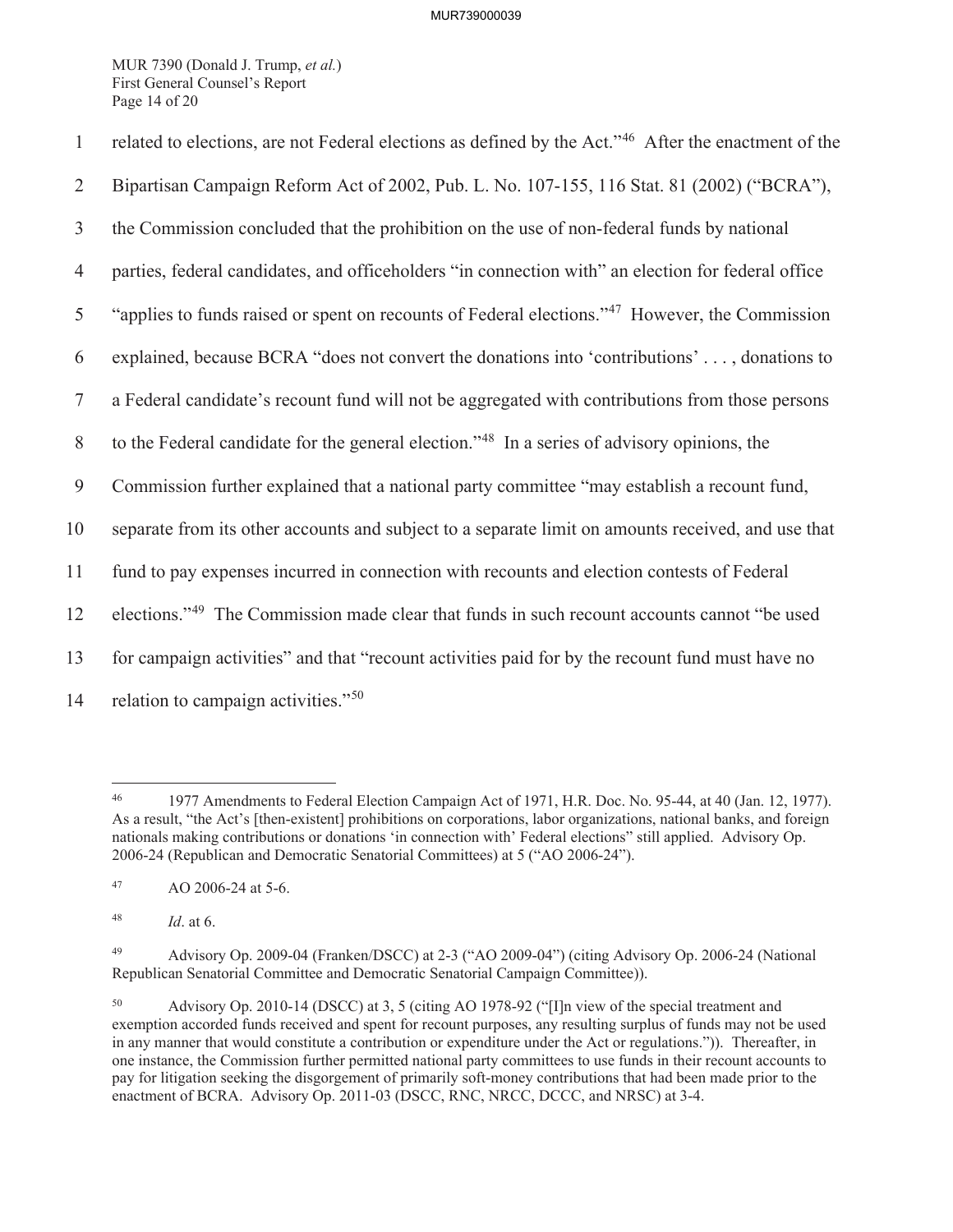MUR 7390 (Donald J. Trump, *et al.*) First General Counsel's Report Page 14 of 20

1 related to elections, are not Federal elections as defined by the Act."<sup>46</sup> After the enactment of the 2 Bipartisan Campaign Reform Act of 2002, Pub. L. No. 107-155, 116 Stat. 81 (2002) ("BCRA"), 3 the Commission concluded that the prohibition on the use of non-federal funds by national 4 parties, federal candidates, and officeholders "in connection with" an election for federal office  $\frac{1}{2}$  "applies to funds raised or spent on recounts of Federal elections."<sup>47</sup> However, the Commission 6 explained, because BCRA "does not convert the donations into 'contributions' . . . , donations to 7 a Federal candidate's recount fund will not be aggregated with contributions from those persons 8 to the Federal candidate for the general election."<sup>48</sup> In a series of advisory opinions, the 9 Commission further explained that a national party committee "may establish a recount fund, 10 separate from its other accounts and subject to a separate limit on amounts received, and use that 11 fund to pay expenses incurred in connection with recounts and election contests of Federal 12 elections."<sup>49</sup> The Commission made clear that funds in such recount accounts cannot "be used 13 for campaign activities" and that "recount activities paid for by the recount fund must have no 14 relation to campaign activities." $50$ 

<sup>46 1977</sup> Amendments to Federal Election Campaign Act of 1971, H.R. Doc. No. 95-44, at 40 (Jan. 12, 1977). As a result, "the Act's [then-existent] prohibitions on corporations, labor organizations, national banks, and foreign nationals making contributions or donations 'in connection with' Federal elections" still applied. Advisory Op. 2006-24 (Republican and Democratic Senatorial Committees) at 5 ("AO 2006-24").

<sup>47</sup> AO 2006-24 at 5-6.

<sup>48</sup> *Id*. at 6.

<sup>49</sup> Advisory Op. 2009-04 (Franken/DSCC) at 2-3 ("AO 2009-04") (citing Advisory Op. 2006-24 (National Republican Senatorial Committee and Democratic Senatorial Campaign Committee)).

<sup>50</sup> Advisory Op. 2010-14 (DSCC) at 3, 5 (citing AO 1978-92 ("[I]n view of the special treatment and exemption accorded funds received and spent for recount purposes, any resulting surplus of funds may not be used in any manner that would constitute a contribution or expenditure under the Act or regulations.")). Thereafter, in one instance, the Commission further permitted national party committees to use funds in their recount accounts to pay for litigation seeking the disgorgement of primarily soft-money contributions that had been made prior to the enactment of BCRA. Advisory Op. 2011-03 (DSCC, RNC, NRCC, DCCC, and NRSC) at 3-4.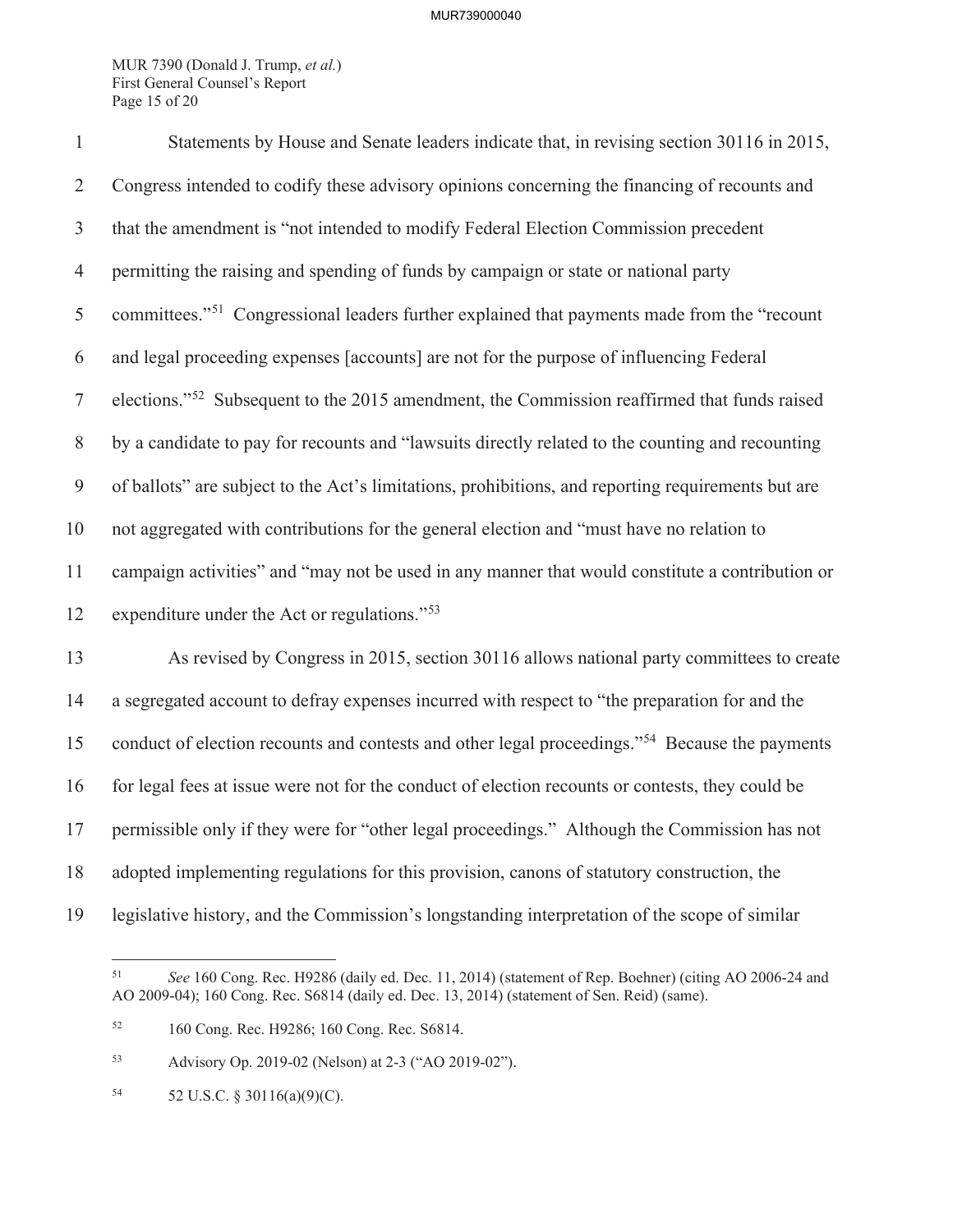MUR 7390 (Donald J. Trump, *et al.*) First General Counsel's Report Page 15 of 20

| $\mathbf{1}$   | Statements by House and Senate leaders indicate that, in revising section 30116 in 2015,                   |
|----------------|------------------------------------------------------------------------------------------------------------|
| $\overline{2}$ | Congress intended to codify these advisory opinions concerning the financing of recounts and               |
| $\mathfrak{Z}$ | that the amendment is "not intended to modify Federal Election Commission precedent                        |
| $\overline{4}$ | permitting the raising and spending of funds by campaign or state or national party                        |
| 5              | committees." <sup>51</sup> Congressional leaders further explained that payments made from the "recount"   |
| 6              | and legal proceeding expenses [accounts] are not for the purpose of influencing Federal                    |
| $\tau$         | elections." <sup>52</sup> Subsequent to the 2015 amendment, the Commission reaffirmed that funds raised    |
| 8              | by a candidate to pay for recounts and "lawsuits directly related to the counting and recounting           |
| 9              | of ballots" are subject to the Act's limitations, prohibitions, and reporting requirements but are         |
| 10             | not aggregated with contributions for the general election and "must have no relation to                   |
| 11             | campaign activities" and "may not be used in any manner that would constitute a contribution or            |
| 12             | expenditure under the Act or regulations." <sup>53</sup>                                                   |
| 13             | As revised by Congress in 2015, section 30116 allows national party committees to create                   |
| 14             | a segregated account to defray expenses incurred with respect to "the preparation for and the              |
| 15             | conduct of election recounts and contests and other legal proceedings." <sup>54</sup> Because the payments |
| 16             | for legal fees at issue were not for the conduct of election recounts or contests, they could be           |
| 17             | permissible only if they were for "other legal proceedings." Although the Commission has not               |
| 18             | adopted implementing regulations for this provision, canons of statutory construction, the                 |
| 19             | legislative history, and the Commission's longstanding interpretation of the scope of similar              |

<sup>51</sup> *See* 160 Cong. Rec. H9286 (daily ed. Dec. 11, 2014) (statement of Rep. Boehner) (citing AO 2006-24 and AO 2009-04); 160 Cong. Rec. S6814 (daily ed. Dec. 13, 2014) (statement of Sen. Reid) (same).

<sup>52 160</sup> Cong. Rec. H9286; 160 Cong. Rec. S6814.

<sup>53</sup> Advisory Op. 2019-02 (Nelson) at 2-3 ("AO 2019-02").

<sup>54 52</sup> U.S.C. § 30116(a)(9)(C).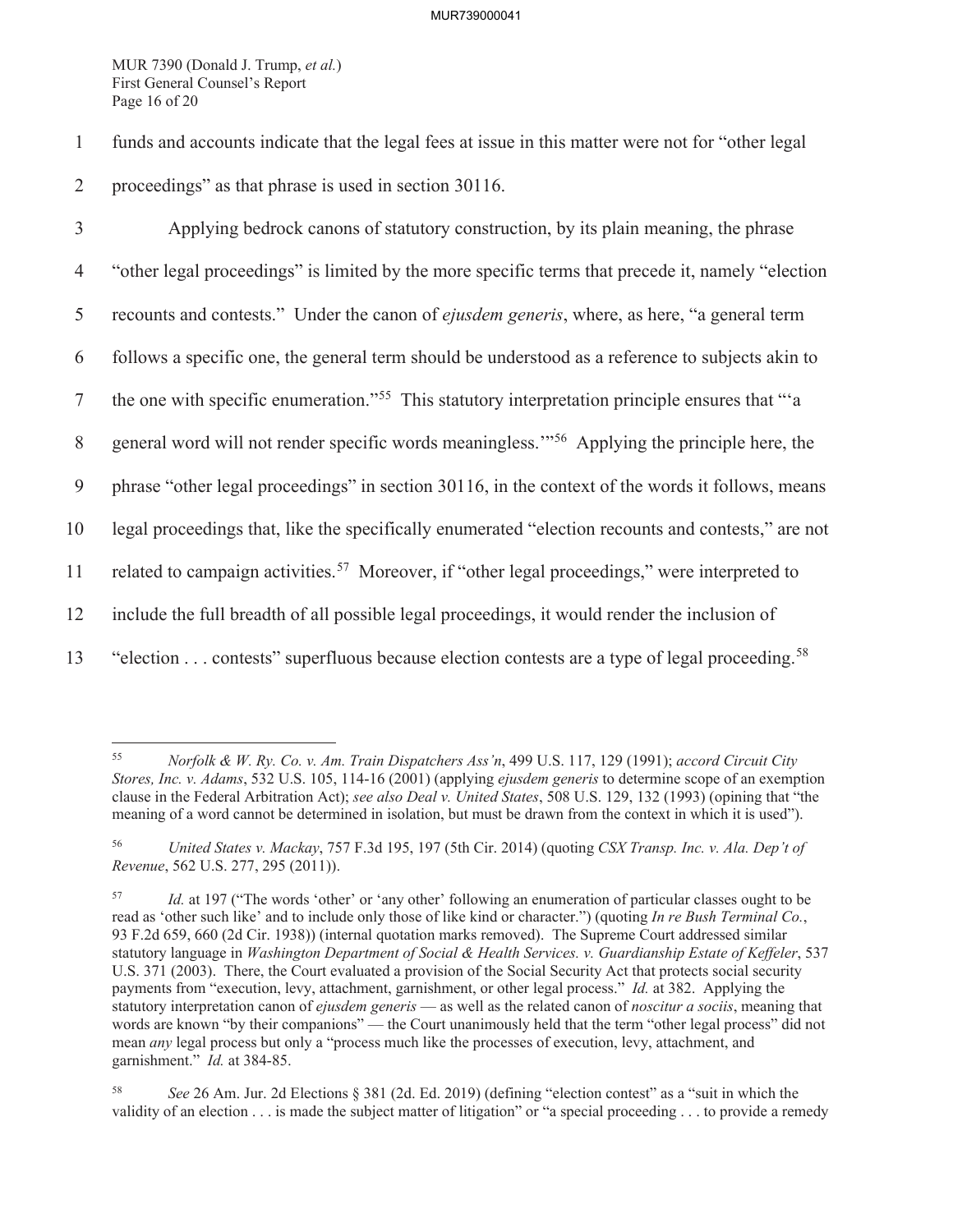MUR 7390 (Donald J. Trump, *et al.*) First General Counsel's Report Page 16 of 20

1 funds and accounts indicate that the legal fees at issue in this matter were not for "other legal 2 proceedings" as that phrase is used in section 30116.

3 Applying bedrock canons of statutory construction, by its plain meaning, the phrase 4 "other legal proceedings" is limited by the more specific terms that precede it, namely "election 5 recounts and contests." Under the canon of *ejusdem generis*, where, as here, "a general term 6 follows a specific one, the general term should be understood as a reference to subjects akin to 7 the one with specific enumeration."<sup>55</sup> This statutory interpretation principle ensures that "'a 8 general word will not render specific words meaningless."<sup>56</sup> Applying the principle here, the 9 phrase "other legal proceedings" in section 30116, in the context of the words it follows, means 10 legal proceedings that, like the specifically enumerated "election recounts and contests," are not 11 related to campaign activities.<sup>57</sup> Moreover, if "other legal proceedings," were interpreted to 12 include the full breadth of all possible legal proceedings, it would render the inclusion of 13 "election  $\ldots$  contests" superfluous because election contests are a type of legal proceeding.<sup>58</sup>

<sup>55</sup> *Norfolk & W. Ry. Co. v. Am. Train Dispatchers Ass'n*, 499 U.S. 117, 129 (1991); *accord Circuit City Stores, Inc. v. Adams*, 532 U.S. 105, 114-16 (2001) (applying *ejusdem generis* to determine scope of an exemption clause in the Federal Arbitration Act); *see also Deal v. United States*, 508 U.S. 129, 132 (1993) (opining that "the meaning of a word cannot be determined in isolation, but must be drawn from the context in which it is used").

<sup>56</sup> *United States v. Mackay*, 757 F.3d 195, 197 (5th Cir. 2014) (quoting *CSX Transp. Inc. v. Ala. Dep't of Revenue*, 562 U.S. 277, 295 (2011)).

<sup>57</sup> *Id.* at 197 ("The words 'other' or 'any other' following an enumeration of particular classes ought to be read as 'other such like' and to include only those of like kind or character.") (quoting *In re Bush Terminal Co.*, 93 F.2d 659, 660 (2d Cir. 1938)) (internal quotation marks removed). The Supreme Court addressed similar statutory language in *Washington Department of Social & Health Services. v. Guardianship Estate of Keffeler*, 537 U.S. 371 (2003). There, the Court evaluated a provision of the Social Security Act that protects social security payments from "execution, levy, attachment, garnishment, or other legal process." *Id.* at 382. Applying the statutory interpretation canon of *ejusdem generis* — as well as the related canon of *noscitur a sociis*, meaning that words are known "by their companions" — the Court unanimously held that the term "other legal process" did not mean *any* legal process but only a "process much like the processes of execution, levy, attachment, and garnishment." *Id.* at 384-85.

<sup>58</sup> *See* 26 Am. Jur. 2d Elections § 381 (2d. Ed. 2019) (defining "election contest" as a "suit in which the validity of an election . . . is made the subject matter of litigation" or "a special proceeding . . . to provide a remedy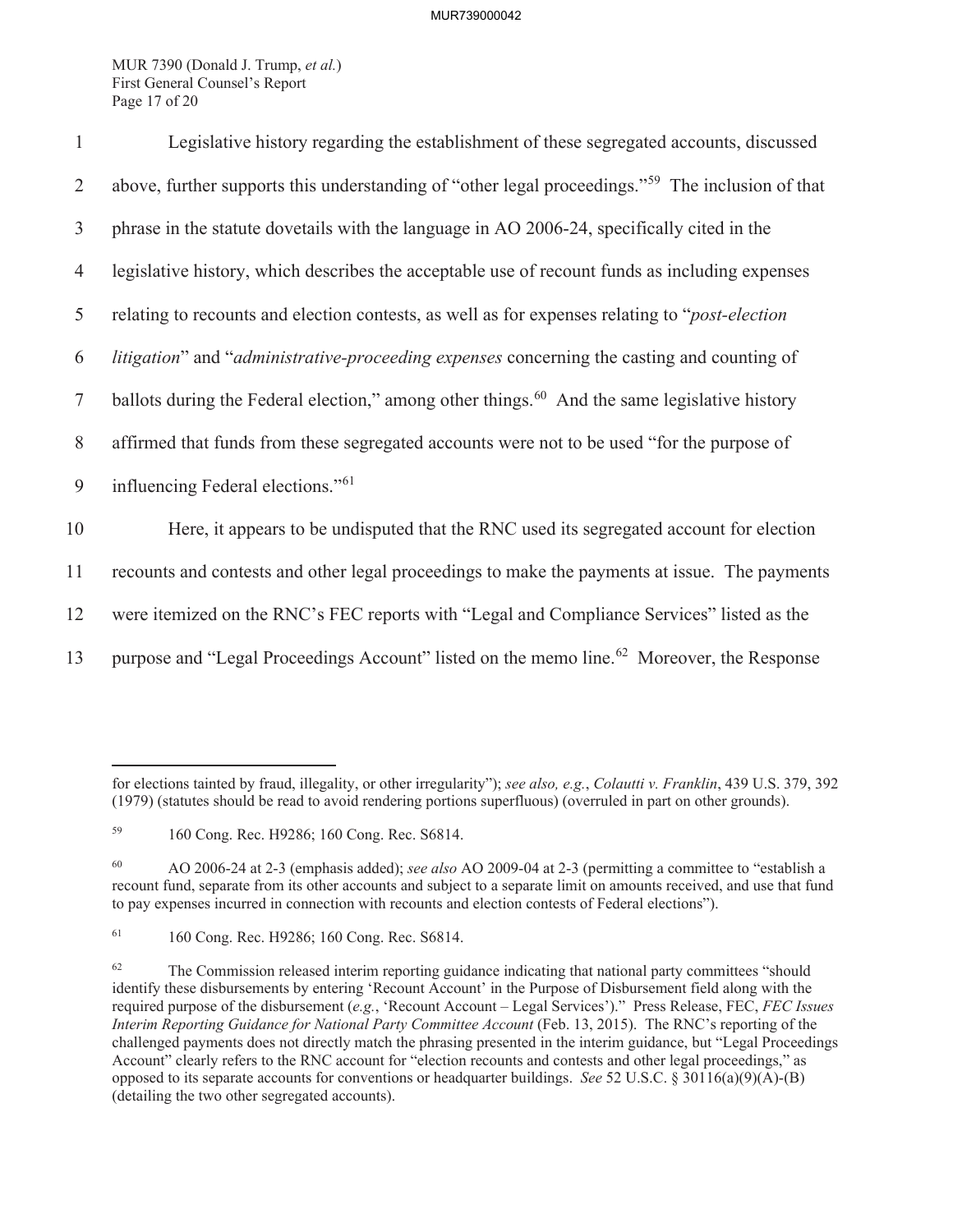MUR 7390 (Donald J. Trump, *et al.*) First General Counsel's Report Page 17 of 20

| $\mathbf{1}$   | Legislative history regarding the establishment of these segregated accounts, discussed                      |  |  |
|----------------|--------------------------------------------------------------------------------------------------------------|--|--|
| $\overline{2}$ | above, further supports this understanding of "other legal proceedings." <sup>59</sup> The inclusion of that |  |  |
| 3              | phrase in the statute dovetails with the language in AO 2006-24, specifically cited in the                   |  |  |
| $\overline{4}$ | legislative history, which describes the acceptable use of recount funds as including expenses               |  |  |
| 5              | relating to recounts and election contests, as well as for expenses relating to " <i>post-election</i>       |  |  |
| 6              | litigation" and "administrative-proceeding expenses concerning the casting and counting of                   |  |  |
| $\tau$         | ballots during the Federal election," among other things. <sup>60</sup> And the same legislative history     |  |  |
| 8              | affirmed that funds from these segregated accounts were not to be used "for the purpose of                   |  |  |
| 9              | influencing Federal elections." <sup>61</sup>                                                                |  |  |
| 10             | Here, it appears to be undisputed that the RNC used its segregated account for election                      |  |  |
| 11             | recounts and contests and other legal proceedings to make the payments at issue. The payments                |  |  |
| 12             | were itemized on the RNC's FEC reports with "Legal and Compliance Services" listed as the                    |  |  |
| 13             | purpose and "Legal Proceedings Account" listed on the memo line. <sup>62</sup> Moreover, the Response        |  |  |

for elections tainted by fraud, illegality, or other irregularity"); *see also, e.g.*, *Colautti v. Franklin*, 439 U.S. 379, 392 (1979) (statutes should be read to avoid rendering portions superfluous) (overruled in part on other grounds).

<sup>59</sup> 160 Cong. Rec. H9286; 160 Cong. Rec. S6814.

<sup>60</sup> AO 2006-24 at 2-3 (emphasis added); *see also* AO 2009-04 at 2-3 (permitting a committee to "establish a recount fund, separate from its other accounts and subject to a separate limit on amounts received, and use that fund to pay expenses incurred in connection with recounts and election contests of Federal elections").

<sup>61</sup> 160 Cong. Rec. H9286; 160 Cong. Rec. S6814.

<sup>&</sup>lt;sup>62</sup> The Commission released interim reporting guidance indicating that national party committees "should identify these disbursements by entering 'Recount Account' in the Purpose of Disbursement field along with the required purpose of the disbursement (*e.g.*, 'Recount Account – Legal Services')." Press Release, FEC, *FEC Issues Interim Reporting Guidance for National Party Committee Account* (Feb. 13, 2015). The RNC's reporting of the challenged payments does not directly match the phrasing presented in the interim guidance, but "Legal Proceedings Account" clearly refers to the RNC account for "election recounts and contests and other legal proceedings," as opposed to its separate accounts for conventions or headquarter buildings. *See* 52 U.S.C. § 30116(a)(9)(A)-(B) (detailing the two other segregated accounts).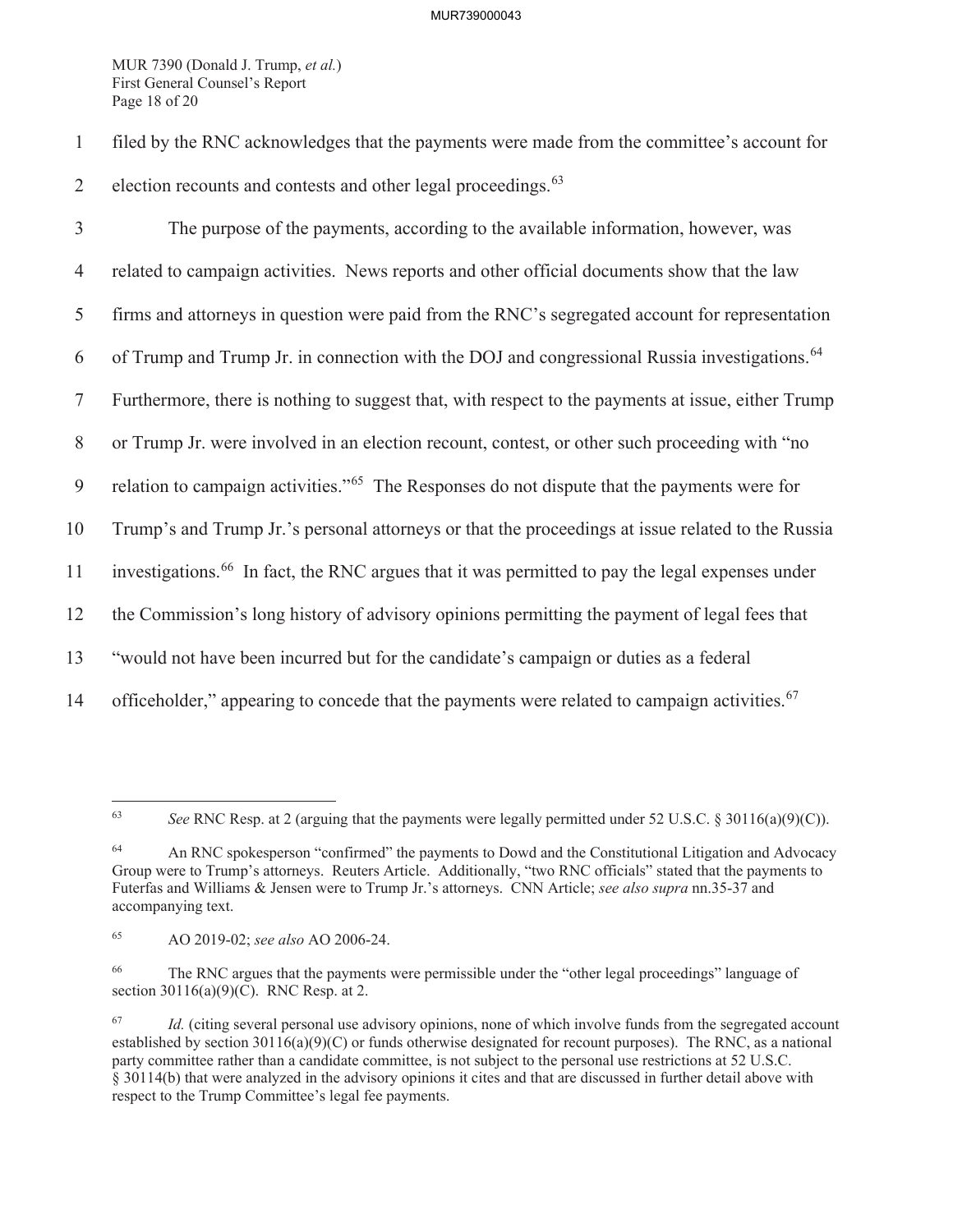MUR 7390 (Donald J. Trump, *et al.*) First General Counsel's Report Page 18 of 20

1 filed by the RNC acknowledges that the payments were made from the committee's account for 2 election recounts and contests and other legal proceedings. $63$ 

3 The purpose of the payments, according to the available information, however, was 4 related to campaign activities. News reports and other official documents show that the law 5 firms and attorneys in question were paid from the RNC's segregated account for representation 6 of Trump and Trump Jr. in connection with the DOJ and congressional Russia investigations.  $64$ 7 Furthermore, there is nothing to suggest that, with respect to the payments at issue, either Trump 8 or Trump Jr. were involved in an election recount, contest, or other such proceeding with "no 9 relation to campaign activities."<sup> $65$ </sup> The Responses do not dispute that the payments were for 10 Trump's and Trump Jr.'s personal attorneys or that the proceedings at issue related to the Russia 11 investigations.<sup>66</sup> In fact, the RNC argues that it was permitted to pay the legal expenses under 12 the Commission's long history of advisory opinions permitting the payment of legal fees that 13 "would not have been incurred but for the candidate's campaign or duties as a federal 14 officeholder," appearing to concede that the payments were related to campaign activities.  $67$ 

<sup>63</sup> *See* RNC Resp. at 2 (arguing that the payments were legally permitted under 52 U.S.C. § 30116(a)(9)(C)).

<sup>64</sup> An RNC spokesperson "confirmed" the payments to Dowd and the Constitutional Litigation and Advocacy Group were to Trump's attorneys. Reuters Article. Additionally, "two RNC officials" stated that the payments to Futerfas and Williams & Jensen were to Trump Jr.'s attorneys. CNN Article; *see also supra* nn.35-37 and accompanying text.

<sup>65</sup> AO 2019-02; *see also* AO 2006-24.

<sup>66</sup> The RNC argues that the payments were permissible under the "other legal proceedings" language of section 30116(a)(9)(C). RNC Resp. at 2.

<sup>&</sup>lt;sup>67</sup> *Id.* (citing several personal use advisory opinions, none of which involve funds from the segregated account established by section  $30116(a)(9)(C)$  or funds otherwise designated for recount purposes). The RNC, as a national party committee rather than a candidate committee, is not subject to the personal use restrictions at 52 U.S.C. § 30114(b) that were analyzed in the advisory opinions it cites and that are discussed in further detail above with respect to the Trump Committee's legal fee payments.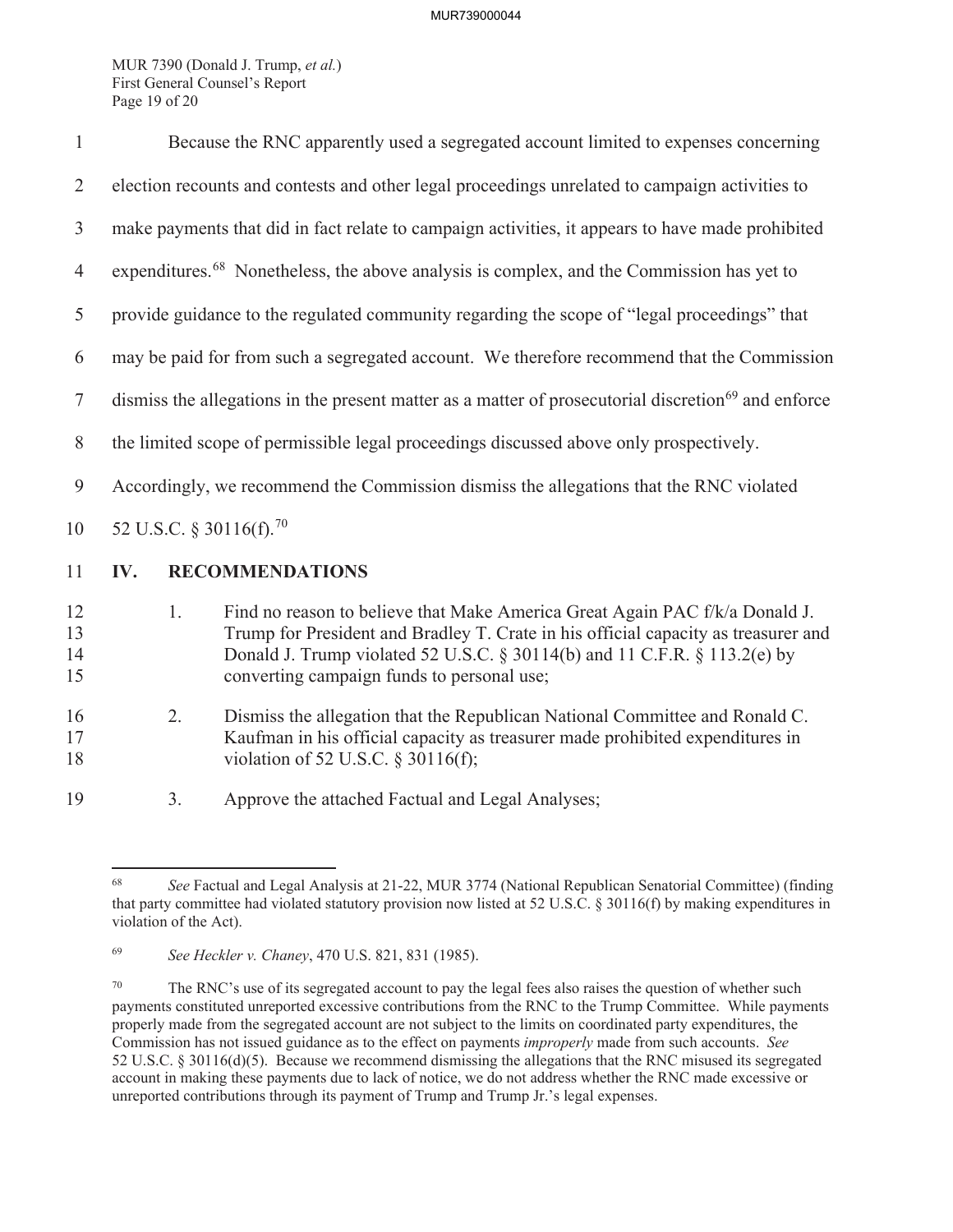MUR 7390 (Donald J. Trump, *et al.*) First General Counsel's Report Page 19 of 20

| $\mathbf{1}$         | Because the RNC apparently used a segregated account limited to expenses concerning                             |    |                                                                                                                                                                                                                                                                                              |
|----------------------|-----------------------------------------------------------------------------------------------------------------|----|----------------------------------------------------------------------------------------------------------------------------------------------------------------------------------------------------------------------------------------------------------------------------------------------|
| 2                    | election recounts and contests and other legal proceedings unrelated to campaign activities to                  |    |                                                                                                                                                                                                                                                                                              |
| $\mathfrak{Z}$       | make payments that did in fact relate to campaign activities, it appears to have made prohibited                |    |                                                                                                                                                                                                                                                                                              |
| $\overline{4}$       | expenditures. <sup>68</sup> Nonetheless, the above analysis is complex, and the Commission has yet to           |    |                                                                                                                                                                                                                                                                                              |
| 5                    | provide guidance to the regulated community regarding the scope of "legal proceedings" that                     |    |                                                                                                                                                                                                                                                                                              |
| 6                    | may be paid for from such a segregated account. We therefore recommend that the Commission                      |    |                                                                                                                                                                                                                                                                                              |
| $\tau$               | dismiss the allegations in the present matter as a matter of prosecutorial discretion <sup>69</sup> and enforce |    |                                                                                                                                                                                                                                                                                              |
| 8                    | the limited scope of permissible legal proceedings discussed above only prospectively.                          |    |                                                                                                                                                                                                                                                                                              |
| 9                    | Accordingly, we recommend the Commission dismiss the allegations that the RNC violated                          |    |                                                                                                                                                                                                                                                                                              |
| 10                   | 52 U.S.C. § 30116(f). <sup>70</sup>                                                                             |    |                                                                                                                                                                                                                                                                                              |
| 11                   | IV.                                                                                                             |    | <b>RECOMMENDATIONS</b>                                                                                                                                                                                                                                                                       |
| 12<br>13<br>14<br>15 |                                                                                                                 | 1. | Find no reason to believe that Make America Great Again PAC f/k/a Donald J.<br>Trump for President and Bradley T. Crate in his official capacity as treasurer and<br>Donald J. Trump violated 52 U.S.C. § 30114(b) and 11 C.F.R. § 113.2(e) by<br>converting campaign funds to personal use; |
| 16<br>17<br>18       |                                                                                                                 | 2. | Dismiss the allegation that the Republican National Committee and Ronald C.<br>Kaufman in his official capacity as treasurer made prohibited expenditures in<br>violation of 52 U.S.C. § 30116(f);                                                                                           |
|                      |                                                                                                                 |    |                                                                                                                                                                                                                                                                                              |

<sup>19 3.</sup> Approve the attached Factual and Legal Analyses;

<sup>68</sup> *See* Factual and Legal Analysis at 21-22, MUR 3774 (National Republican Senatorial Committee) (finding that party committee had violated statutory provision now listed at 52 U.S.C. § 30116(f) by making expenditures in violation of the Act).

<sup>69</sup> *See Heckler v. Chaney*, 470 U.S. 821, 831 (1985).

<sup>&</sup>lt;sup>70</sup> The RNC's use of its segregated account to pay the legal fees also raises the question of whether such payments constituted unreported excessive contributions from the RNC to the Trump Committee. While payments properly made from the segregated account are not subject to the limits on coordinated party expenditures, the Commission has not issued guidance as to the effect on payments *improperly* made from such accounts. *See* 52 U.S.C. § 30116(d)(5). Because we recommend dismissing the allegations that the RNC misused its segregated account in making these payments due to lack of notice, we do not address whether the RNC made excessive or unreported contributions through its payment of Trump and Trump Jr.'s legal expenses.